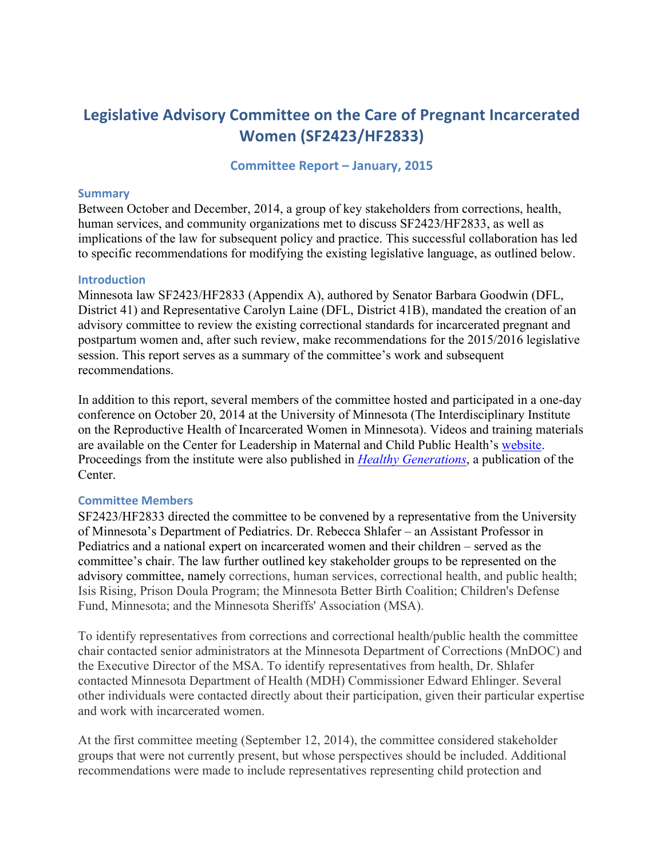# Legislative Advisory Committee on the Care of Pregnant Incarcerated **Women (SF2423/HF2833)**

# **Committee Report – January, 2015**

#### **Summary**

Between October and December, 2014, a group of key stakeholders from corrections, health, human services, and community organizations met to discuss SF2423/HF2833, as well as implications of the law for subsequent policy and practice. This successful collaboration has led to specific recommendations for modifying the existing legislative language, as outlined below.

## **Introduction**

Minnesota law SF2423/HF2833 (Appendix A), authored by Senator Barbara Goodwin (DFL, District 41) and Representative Carolyn Laine (DFL, District 41B), mandated the creation of an advisory committee to review the existing correctional standards for incarcerated pregnant and postpartum women and, after such review, make recommendations for the 2015/2016 legislative session. This report serves as a summary of the committee's work and subsequent recommendations.

In addition to this report, several members of the committee hosted and participated in a one-day conference on October 20, 2014 at the University of Minnesota (The Interdisciplinary Institute on the Reproductive Health of Incarcerated Women in Minnesota). Videos and training materials are available on the Center for Leadership in Maternal and Child Public Health's website. Proceedings from the institute were also published in *Healthy Generations*, a publication of the **Center** 

## **Committee Members**

SF2423/HF2833 directed the committee to be convened by a representative from the University of Minnesota's Department of Pediatrics. Dr. Rebecca Shlafer – an Assistant Professor in Pediatrics and a national expert on incarcerated women and their children – served as the committee's chair. The law further outlined key stakeholder groups to be represented on the advisory committee, namely corrections, human services, correctional health, and public health; Isis Rising, Prison Doula Program; the Minnesota Better Birth Coalition; Children's Defense Fund, Minnesota; and the Minnesota Sheriffs' Association (MSA).

To identify representatives from corrections and correctional health/public health the committee chair contacted senior administrators at the Minnesota Department of Corrections (MnDOC) and the Executive Director of the MSA. To identify representatives from health, Dr. Shlafer contacted Minnesota Department of Health (MDH) Commissioner Edward Ehlinger. Several other individuals were contacted directly about their participation, given their particular expertise and work with incarcerated women.

At the first committee meeting (September 12, 2014), the committee considered stakeholder groups that were not currently present, but whose perspectives should be included. Additional recommendations were made to include representatives representing child protection and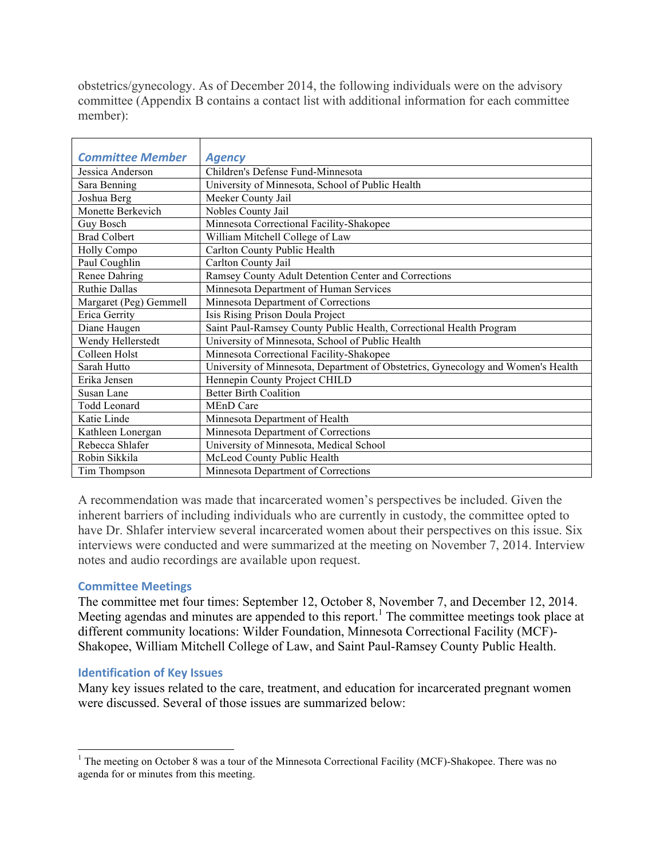obstetrics/gynecology. As of December 2014, the following individuals were on the advisory committee (Appendix B contains a contact list with additional information for each committee member):

| <b>Committee Member</b> | <b>Agency</b>                                                                    |
|-------------------------|----------------------------------------------------------------------------------|
| Jessica Anderson        | Children's Defense Fund-Minnesota                                                |
| Sara Benning            | University of Minnesota, School of Public Health                                 |
| Joshua Berg             | Meeker County Jail                                                               |
| Monette Berkevich       | Nobles County Jail                                                               |
| Guy Bosch               | Minnesota Correctional Facility-Shakopee                                         |
| <b>Brad Colbert</b>     | William Mitchell College of Law                                                  |
| Holly Compo             | Carlton County Public Health                                                     |
| Paul Coughlin           | Carlton County Jail                                                              |
| Renee Dahring           | Ramsey County Adult Detention Center and Corrections                             |
| Ruthie Dallas           | Minnesota Department of Human Services                                           |
| Margaret (Peg) Gemmell  | Minnesota Department of Corrections                                              |
| Erica Gerrity           | Isis Rising Prison Doula Project                                                 |
| Diane Haugen            | Saint Paul-Ramsey County Public Health, Correctional Health Program              |
| Wendy Hellerstedt       | University of Minnesota, School of Public Health                                 |
| Colleen Holst           | Minnesota Correctional Facility-Shakopee                                         |
| Sarah Hutto             | University of Minnesota, Department of Obstetrics, Gynecology and Women's Health |
| Erika Jensen            | Hennepin County Project CHILD                                                    |
| Susan Lane              | <b>Better Birth Coalition</b>                                                    |
| <b>Todd Leonard</b>     | <b>MEnD</b> Care                                                                 |
| Katie Linde             | Minnesota Department of Health                                                   |
| Kathleen Lonergan       | Minnesota Department of Corrections                                              |
| Rebecca Shlafer         | University of Minnesota, Medical School                                          |
| Robin Sikkila           | McLeod County Public Health                                                      |
| Tim Thompson            | Minnesota Department of Corrections                                              |

A recommendation was made that incarcerated women's perspectives be included. Given the inherent barriers of including individuals who are currently in custody, the committee opted to have Dr. Shlafer interview several incarcerated women about their perspectives on this issue. Six interviews were conducted and were summarized at the meeting on November 7, 2014. Interview notes and audio recordings are available upon request.

# **Committee Meetings**

The committee met four times: September 12, October 8, November 7, and December 12, 2014. Meeting agendas and minutes are appended to this report.<sup>1</sup> The committee meetings took place at different community locations: Wilder Foundation, Minnesota Correctional Facility (MCF)- Shakopee, William Mitchell College of Law, and Saint Paul-Ramsey County Public Health.

## **Identification of Key Issues**

Many key issues related to the care, treatment, and education for incarcerated pregnant women were discussed. Several of those issues are summarized below:

 $1$  The meeting on October 8 was a tour of the Minnesota Correctional Facility (MCF)-Shakopee. There was no agenda for or minutes from this meeting.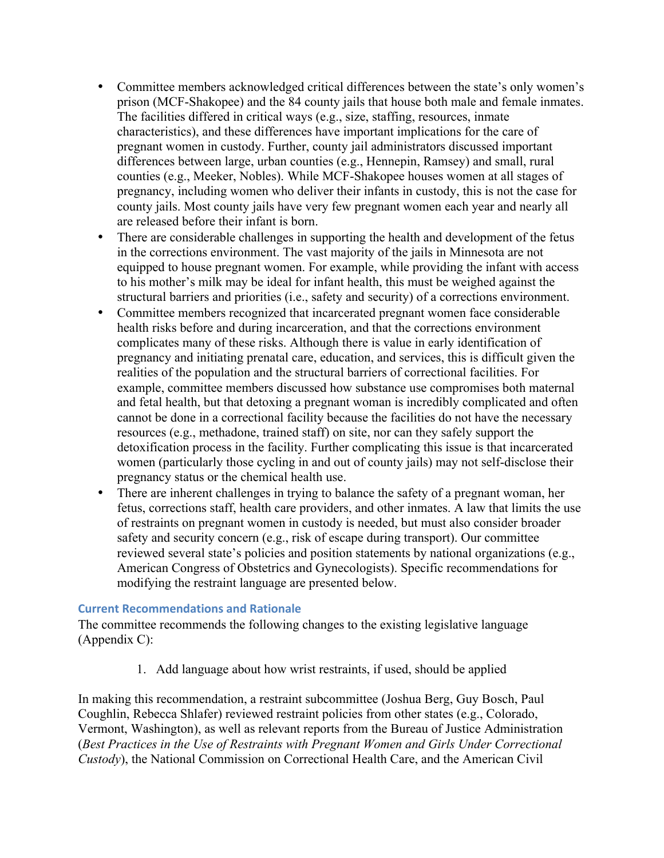- Committee members acknowledged critical differences between the state's only women's prison (MCF-Shakopee) and the 84 county jails that house both male and female inmates. The facilities differed in critical ways (e.g., size, staffing, resources, inmate characteristics), and these differences have important implications for the care of pregnant women in custody. Further, county jail administrators discussed important differences between large, urban counties (e.g., Hennepin, Ramsey) and small, rural counties (e.g., Meeker, Nobles). While MCF-Shakopee houses women at all stages of pregnancy, including women who deliver their infants in custody, this is not the case for county jails. Most county jails have very few pregnant women each year and nearly all are released before their infant is born.
- There are considerable challenges in supporting the health and development of the fetus in the corrections environment. The vast majority of the jails in Minnesota are not equipped to house pregnant women. For example, while providing the infant with access to his mother's milk may be ideal for infant health, this must be weighed against the structural barriers and priorities (i.e., safety and security) of a corrections environment.
- Committee members recognized that incarcerated pregnant women face considerable health risks before and during incarceration, and that the corrections environment complicates many of these risks. Although there is value in early identification of pregnancy and initiating prenatal care, education, and services, this is difficult given the realities of the population and the structural barriers of correctional facilities. For example, committee members discussed how substance use compromises both maternal and fetal health, but that detoxing a pregnant woman is incredibly complicated and often cannot be done in a correctional facility because the facilities do not have the necessary resources (e.g., methadone, trained staff) on site, nor can they safely support the detoxification process in the facility. Further complicating this issue is that incarcerated women (particularly those cycling in and out of county jails) may not self-disclose their pregnancy status or the chemical health use.
- There are inherent challenges in trying to balance the safety of a pregnant woman, her fetus, corrections staff, health care providers, and other inmates. A law that limits the use of restraints on pregnant women in custody is needed, but must also consider broader safety and security concern (e.g., risk of escape during transport). Our committee reviewed several state's policies and position statements by national organizations (e.g., American Congress of Obstetrics and Gynecologists). Specific recommendations for modifying the restraint language are presented below.

# **Current Recommendations and Rationale**

The committee recommends the following changes to the existing legislative language (Appendix C):

1. Add language about how wrist restraints, if used, should be applied

In making this recommendation, a restraint subcommittee (Joshua Berg, Guy Bosch, Paul Coughlin, Rebecca Shlafer) reviewed restraint policies from other states (e.g., Colorado, Vermont, Washington), as well as relevant reports from the Bureau of Justice Administration (*Best Practices in the Use of Restraints with Pregnant Women and Girls Under Correctional Custody*), the National Commission on Correctional Health Care, and the American Civil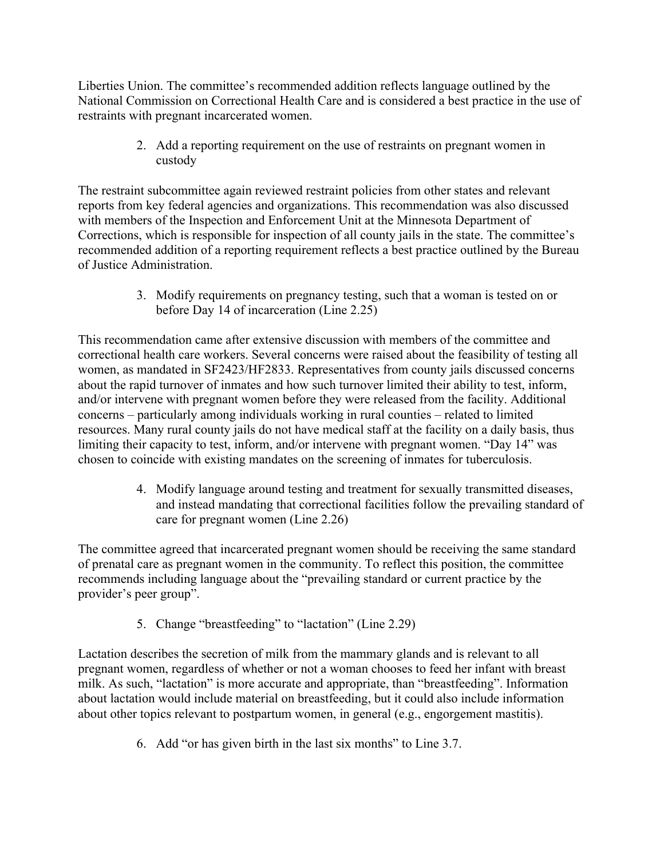Liberties Union. The committee's recommended addition reflects language outlined by the National Commission on Correctional Health Care and is considered a best practice in the use of restraints with pregnant incarcerated women.

> 2. Add a reporting requirement on the use of restraints on pregnant women in custody

The restraint subcommittee again reviewed restraint policies from other states and relevant reports from key federal agencies and organizations. This recommendation was also discussed with members of the Inspection and Enforcement Unit at the Minnesota Department of Corrections, which is responsible for inspection of all county jails in the state. The committee's recommended addition of a reporting requirement reflects a best practice outlined by the Bureau of Justice Administration.

> 3. Modify requirements on pregnancy testing, such that a woman is tested on or before Day 14 of incarceration (Line 2.25)

This recommendation came after extensive discussion with members of the committee and correctional health care workers. Several concerns were raised about the feasibility of testing all women, as mandated in SF2423/HF2833. Representatives from county jails discussed concerns about the rapid turnover of inmates and how such turnover limited their ability to test, inform, and/or intervene with pregnant women before they were released from the facility. Additional concerns – particularly among individuals working in rural counties – related to limited resources. Many rural county jails do not have medical staff at the facility on a daily basis, thus limiting their capacity to test, inform, and/or intervene with pregnant women. "Day 14" was chosen to coincide with existing mandates on the screening of inmates for tuberculosis.

> 4. Modify language around testing and treatment for sexually transmitted diseases, and instead mandating that correctional facilities follow the prevailing standard of care for pregnant women (Line 2.26)

The committee agreed that incarcerated pregnant women should be receiving the same standard of prenatal care as pregnant women in the community. To reflect this position, the committee recommends including language about the "prevailing standard or current practice by the provider's peer group".

5. Change "breastfeeding" to "lactation" (Line 2.29)

Lactation describes the secretion of milk from the mammary glands and is relevant to all pregnant women, regardless of whether or not a woman chooses to feed her infant with breast milk. As such, "lactation" is more accurate and appropriate, than "breastfeeding". Information about lactation would include material on breastfeeding, but it could also include information about other topics relevant to postpartum women, in general (e.g., engorgement mastitis).

6. Add "or has given birth in the last six months" to Line 3.7.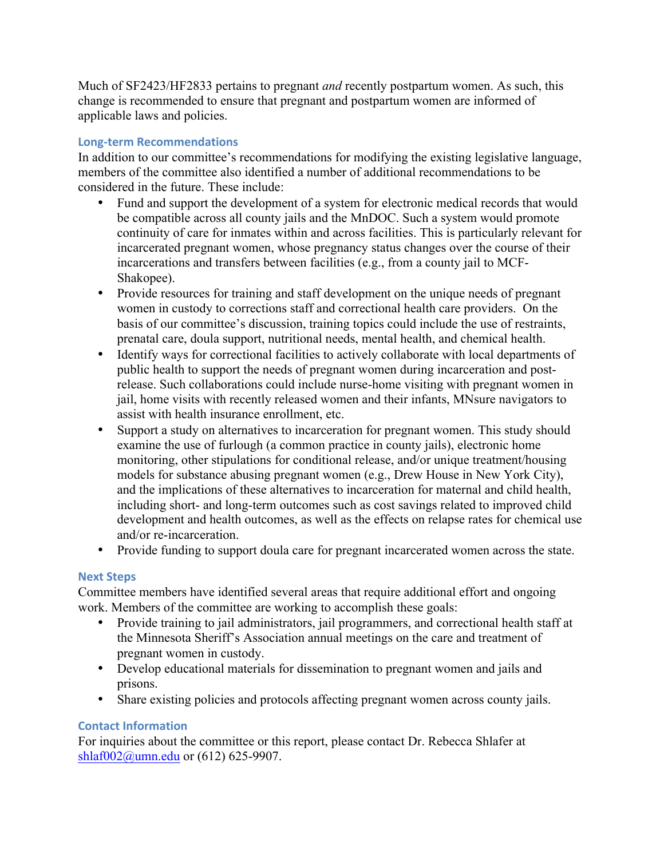Much of SF2423/HF2833 pertains to pregnant *and* recently postpartum women. As such, this change is recommended to ensure that pregnant and postpartum women are informed of applicable laws and policies.

# **Long-term Recommendations**

In addition to our committee's recommendations for modifying the existing legislative language, members of the committee also identified a number of additional recommendations to be considered in the future. These include:

- Fund and support the development of a system for electronic medical records that would be compatible across all county jails and the MnDOC. Such a system would promote continuity of care for inmates within and across facilities. This is particularly relevant for incarcerated pregnant women, whose pregnancy status changes over the course of their incarcerations and transfers between facilities (e.g., from a county jail to MCF-Shakopee).
- Provide resources for training and staff development on the unique needs of pregnant women in custody to corrections staff and correctional health care providers. On the basis of our committee's discussion, training topics could include the use of restraints, prenatal care, doula support, nutritional needs, mental health, and chemical health.
- Identify ways for correctional facilities to actively collaborate with local departments of public health to support the needs of pregnant women during incarceration and postrelease. Such collaborations could include nurse-home visiting with pregnant women in jail, home visits with recently released women and their infants, MNsure navigators to assist with health insurance enrollment, etc.
- Support a study on alternatives to incarceration for pregnant women. This study should examine the use of furlough (a common practice in county jails), electronic home monitoring, other stipulations for conditional release, and/or unique treatment/housing models for substance abusing pregnant women (e.g., Drew House in New York City), and the implications of these alternatives to incarceration for maternal and child health, including short- and long-term outcomes such as cost savings related to improved child development and health outcomes, as well as the effects on relapse rates for chemical use and/or re-incarceration.
- Provide funding to support doula care for pregnant incarcerated women across the state.

# **Next Steps**

Committee members have identified several areas that require additional effort and ongoing work. Members of the committee are working to accomplish these goals:

- Provide training to jail administrators, jail programmers, and correctional health staff at the Minnesota Sheriff's Association annual meetings on the care and treatment of pregnant women in custody.
- Develop educational materials for dissemination to pregnant women and jails and prisons.
- Share existing policies and protocols affecting pregnant women across county jails.

# **Contact Information**

For inquiries about the committee or this report, please contact Dr. Rebecca Shlafer at shlaf002@umn.edu or (612) 625-9907.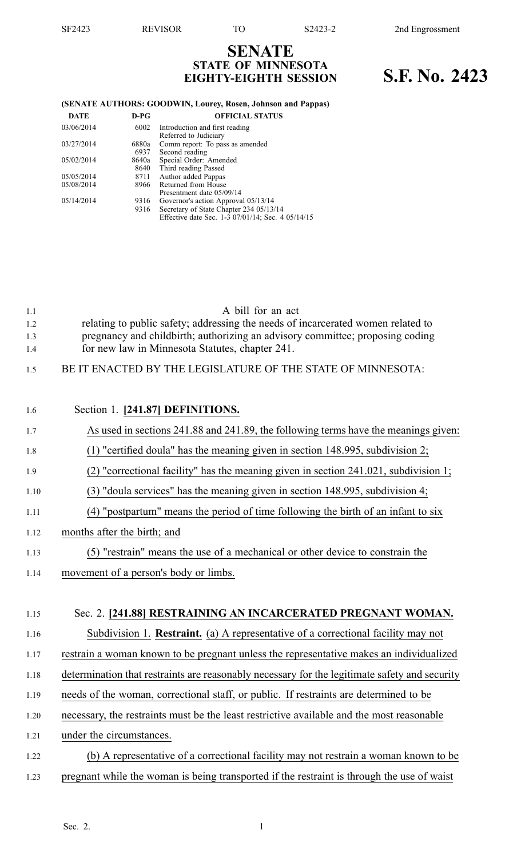# SENATE STATE OF MINNESOTA EIGHTY-EIGHTH SESSION S.F. No. 2423

# (SENATE AUTHORS: GOODWIN, Lourey, Rosen, Johnson and Pappas)

| <b>DATE</b> | $D-PG$ | <b>OFFICIAL STATUS</b>                            |
|-------------|--------|---------------------------------------------------|
| 03/06/2014  | 6002   | Introduction and first reading                    |
|             |        | Referred to Judiciary                             |
| 03/27/2014  | 6880a  | Comm report: To pass as amended                   |
|             | 6937   | Second reading                                    |
| 05/02/2014  | 8640a  | Special Order: Amended                            |
|             | 8640   | Third reading Passed                              |
| 05/05/2014  | 8711   | Author added Pappas                               |
| 05/08/2014  | 8966   | Returned from House                               |
|             |        | Presentment date 05/09/14                         |
| 05/14/2014  | 9316   | Governor's action Approval 05/13/14               |
|             | 9316   | Secretary of State Chapter 234 05/13/14           |
|             |        | Effective date Sec. 1-3 07/01/14; Sec. 4 05/14/15 |

| relating to public safety; addressing the needs of incarcerated women related to<br>1.2 |  |
|-----------------------------------------------------------------------------------------|--|
| pregnancy and childbirth; authorizing an advisory committee; proposing coding<br>1.3    |  |
| for new law in Minnesota Statutes, chapter 241.<br>1.4                                  |  |

# 1.5 BE IT ENACTED BY THE LEGISLATURE OF THE STATE OF MINNESOTA:

| 1.6  | Section 1. [241.87] DEFINITIONS.                                                              |
|------|-----------------------------------------------------------------------------------------------|
| 1.7  | As used in sections 241.88 and 241.89, the following terms have the meanings given:           |
| 1.8  | (1) "certified doula" has the meaning given in section 148.995, subdivision 2;                |
| 1.9  | (2) "correctional facility" has the meaning given in section 241.021, subdivision 1;          |
| 1.10 | (3) "doula services" has the meaning given in section 148.995, subdivision 4;                 |
| 1.11 | (4) "postpartum" means the period of time following the birth of an infant to six             |
| 1.12 | months after the birth; and                                                                   |
| 1.13 | (5) "restrain" means the use of a mechanical or other device to constrain the                 |
| 1.14 | movement of a person's body or limbs.                                                         |
|      |                                                                                               |
| 1.15 | Sec. 2. [241.88] RESTRAINING AN INCARCERATED PREGNANT WOMAN.                                  |
| 1.16 | Subdivision 1. <b>Restraint.</b> (a) A representative of a correctional facility may not      |
| 1.17 | restrain a woman known to be pregnant unless the representative makes an individualized       |
| 1.18 | determination that restraints are reasonably necessary for the legitimate safety and security |
| 1.19 | needs of the woman, correctional staff, or public. If restraints are determined to be         |
| 1.20 | necessary, the restraints must be the least restrictive available and the most reasonable     |
| 1.21 | under the circumstances.                                                                      |
| 1.22 | (b) A representative of a correctional facility may not restrain a woman known to be          |
| 1.23 | pregnant while the woman is being transported if the restraint is through the use of waist    |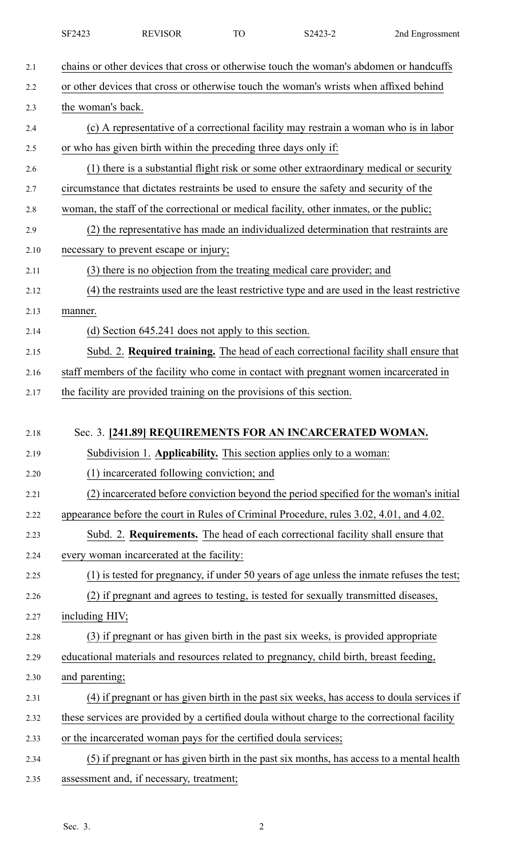|      | SF2423                                                                               | <b>REVISOR</b>                                                        | <b>TO</b> | S2423-2                                                                                      | 2nd Engrossment |
|------|--------------------------------------------------------------------------------------|-----------------------------------------------------------------------|-----------|----------------------------------------------------------------------------------------------|-----------------|
| 2.1  |                                                                                      |                                                                       |           | chains or other devices that cross or otherwise touch the woman's abdomen or handcuffs       |                 |
| 2.2  |                                                                                      |                                                                       |           | or other devices that cross or otherwise touch the woman's wrists when affixed behind        |                 |
| 2.3  | the woman's back.                                                                    |                                                                       |           |                                                                                              |                 |
| 2.4  | (c) A representative of a correctional facility may restrain a woman who is in labor |                                                                       |           |                                                                                              |                 |
| 2.5  |                                                                                      | or who has given birth within the preceding three days only if:       |           |                                                                                              |                 |
| 2.6  |                                                                                      |                                                                       |           | (1) there is a substantial flight risk or some other extraordinary medical or security       |                 |
| 2.7  |                                                                                      |                                                                       |           | circumstance that dictates restraints be used to ensure the safety and security of the       |                 |
| 2.8  |                                                                                      |                                                                       |           | woman, the staff of the correctional or medical facility, other inmates, or the public;      |                 |
| 2.9  |                                                                                      |                                                                       |           | (2) the representative has made an individualized determination that restraints are          |                 |
| 2.10 |                                                                                      | necessary to prevent escape or injury;                                |           |                                                                                              |                 |
| 2.11 |                                                                                      |                                                                       |           | (3) there is no objection from the treating medical care provider; and                       |                 |
| 2.12 |                                                                                      |                                                                       |           | (4) the restraints used are the least restrictive type and are used in the least restrictive |                 |
| 2.13 | manner.                                                                              |                                                                       |           |                                                                                              |                 |
| 2.14 |                                                                                      | (d) Section 645.241 does not apply to this section.                   |           |                                                                                              |                 |
| 2.15 |                                                                                      |                                                                       |           | Subd. 2. Required training. The head of each correctional facility shall ensure that         |                 |
| 2.16 |                                                                                      |                                                                       |           | staff members of the facility who come in contact with pregnant women incarcerated in        |                 |
| 2.17 |                                                                                      | the facility are provided training on the provisions of this section. |           |                                                                                              |                 |
|      |                                                                                      |                                                                       |           |                                                                                              |                 |
| 2.18 |                                                                                      |                                                                       |           | Sec. 3. [241.89] REQUIREMENTS FOR AN INCARCERATED WOMAN.                                     |                 |
| 2.19 |                                                                                      |                                                                       |           | Subdivision 1. Applicability. This section applies only to a woman:                          |                 |
| 2.20 |                                                                                      | (1) incarcerated following conviction; and                            |           |                                                                                              |                 |
| 2.21 |                                                                                      |                                                                       |           | (2) incarcerated before conviction beyond the period specified for the woman's initial       |                 |
| 2.22 |                                                                                      |                                                                       |           | appearance before the court in Rules of Criminal Procedure, rules 3.02, 4.01, and 4.02.      |                 |
| 2.23 |                                                                                      |                                                                       |           | Subd. 2. Requirements. The head of each correctional facility shall ensure that              |                 |
| 2.24 |                                                                                      | every woman incarcerated at the facility:                             |           |                                                                                              |                 |
| 2.25 |                                                                                      |                                                                       |           | (1) is tested for pregnancy, if under 50 years of age unless the inmate refuses the test;    |                 |
| 2.26 |                                                                                      |                                                                       |           | (2) if pregnant and agrees to testing, is tested for sexually transmitted diseases,          |                 |
| 2.27 | including HIV;                                                                       |                                                                       |           |                                                                                              |                 |
| 2.28 |                                                                                      |                                                                       |           | (3) if pregnant or has given birth in the past six weeks, is provided appropriate            |                 |
| 2.29 |                                                                                      |                                                                       |           | educational materials and resources related to pregnancy, child birth, breast feeding,       |                 |
| 2.30 | and parenting;                                                                       |                                                                       |           |                                                                                              |                 |
| 2.31 |                                                                                      |                                                                       |           | (4) if pregnant or has given birth in the past six weeks, has access to doula services if    |                 |
| 2.32 |                                                                                      |                                                                       |           | these services are provided by a certified doula without charge to the correctional facility |                 |
| 2.33 |                                                                                      | or the incarcerated woman pays for the certified doula services;      |           |                                                                                              |                 |
| 2.34 |                                                                                      |                                                                       |           | (5) if pregnant or has given birth in the past six months, has access to a mental health     |                 |
| 2.35 |                                                                                      | assessment and, if necessary, treatment;                              |           |                                                                                              |                 |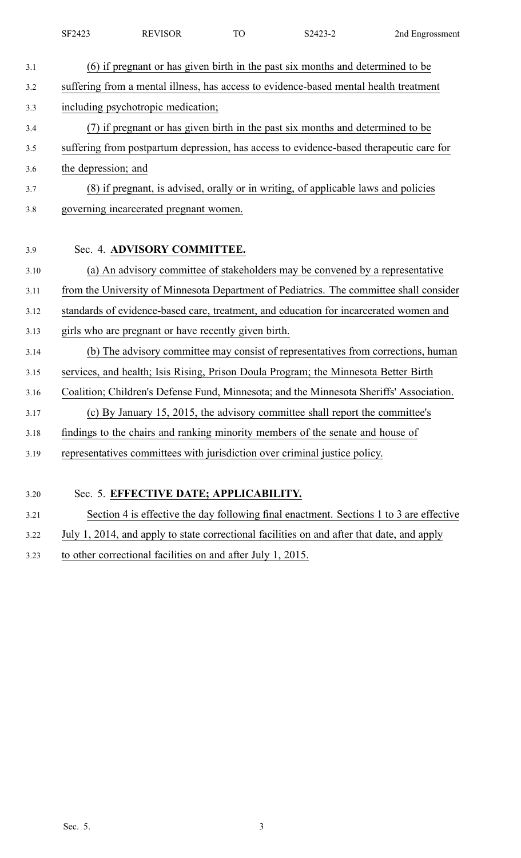| SF2423 | <b>REVISOR</b> | ጉፖ | 72122 P<br>3242J | 2nd Engrossment |
|--------|----------------|----|------------------|-----------------|
|        |                |    |                  |                 |

| 3.1  | (6) if pregnant or has given birth in the past six months and determined to be             |
|------|--------------------------------------------------------------------------------------------|
| 3.2  | suffering from a mental illness, has access to evidence-based mental health treatment      |
| 3.3  | including psychotropic medication;                                                         |
| 3.4  | (7) if pregnant or has given birth in the past six months and determined to be             |
| 3.5  | suffering from postpartum depression, has access to evidence-based therapeutic care for    |
| 3.6  | the depression; and                                                                        |
| 3.7  | (8) if pregnant, is advised, orally or in writing, of applicable laws and policies         |
| 3.8  | governing incarcerated pregnant women.                                                     |
|      |                                                                                            |
| 3.9  | Sec. 4. ADVISORY COMMITTEE.                                                                |
| 3.10 | (a) An advisory committee of stakeholders may be convened by a representative              |
| 3.11 | from the University of Minnesota Department of Pediatrics. The committee shall consider    |
| 3.12 | standards of evidence-based care, treatment, and education for incarcerated women and      |
| 3.13 | girls who are pregnant or have recently given birth.                                       |
| 3.14 | (b) The advisory committee may consist of representatives from corrections, human          |
| 3.15 | services, and health; Isis Rising, Prison Doula Program; the Minnesota Better Birth        |
| 3.16 | Coalition; Children's Defense Fund, Minnesota; and the Minnesota Sheriffs' Association.    |
| 3.17 | (c) By January 15, 2015, the advisory committee shall report the committee's               |
| 3.18 | findings to the chairs and ranking minority members of the senate and house of             |
| 3.19 | representatives committees with jurisdiction over criminal justice policy.                 |
|      |                                                                                            |
| 3.20 | Sec. 5. EFFECTIVE DATE; APPLICABILITY.                                                     |
| 3.21 | Section 4 is effective the day following final enactment. Sections 1 to 3 are effective    |
| 3.22 | July 1, 2014, and apply to state correctional facilities on and after that date, and apply |

3.23 to other correctional facilities on and after July 1, 2015.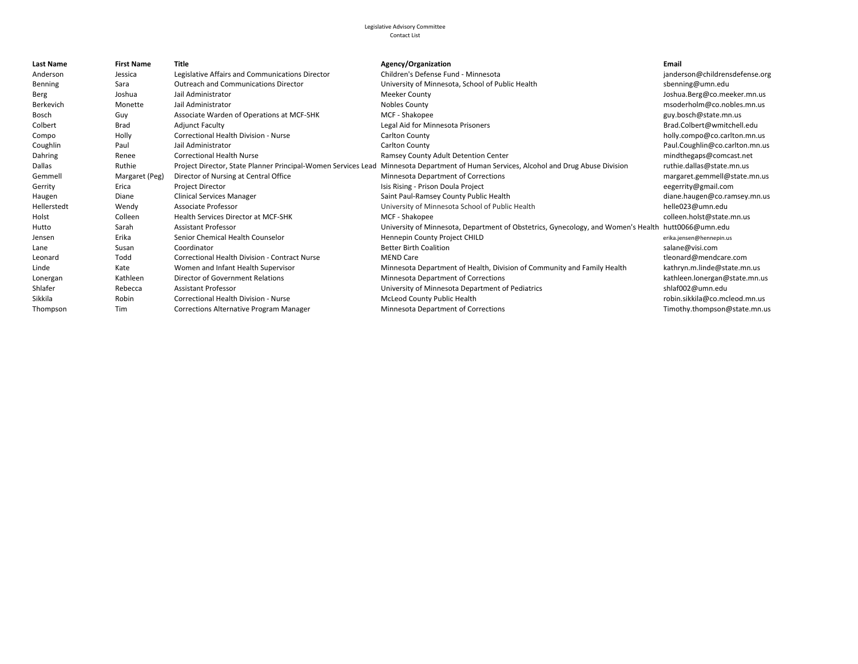| <b>Last Name</b> | <b>First Name</b> | <b>Title</b>                                    | Agency/Organization                                                                                                                   | Email                          |
|------------------|-------------------|-------------------------------------------------|---------------------------------------------------------------------------------------------------------------------------------------|--------------------------------|
| Anderson         | Jessica           | Legislative Affairs and Communications Director | Children's Defense Fund - Minnesota                                                                                                   | janderson@childrensdefense.org |
| Benning          | Sara              | <b>Outreach and Communications Director</b>     | University of Minnesota, School of Public Health                                                                                      | sbenning@umn.edu               |
| Berg             | Joshua            | Jail Administrator                              | <b>Meeker County</b>                                                                                                                  | Joshua.Berg@co.meeker.mn.us    |
| Berkevich        | Monette           | Jail Administrator                              | Nobles County                                                                                                                         | msoderholm@co.nobles.mn.us     |
| Bosch            | Guy               | Associate Warden of Operations at MCF-SHK       | MCF - Shakopee                                                                                                                        | guy.bosch@state.mn.us          |
| Colbert          | Brad              | <b>Adjunct Faculty</b>                          | Legal Aid for Minnesota Prisoners                                                                                                     | Brad.Colbert@wmitchell.edu     |
| Compo            | Holly             | Correctional Health Division - Nurse            | Carlton County                                                                                                                        | holly.compo@co.carlton.mn.us   |
| Coughlin         | Paul              | Jail Administrator                              | Carlton County                                                                                                                        | Paul.Coughlin@co.carlton.mn.us |
| Dahring          | Renee             | <b>Correctional Health Nurse</b>                | Ramsey County Adult Detention Center                                                                                                  | mindthegaps@comcast.net        |
| <b>Dallas</b>    | Ruthie            |                                                 | Project Director, State Planner Principal-Women Services Lead Minnesota Department of Human Services, Alcohol and Drug Abuse Division | ruthie.dallas@state.mn.us      |
| Gemmell          | Margaret (Peg)    | Director of Nursing at Central Office           | Minnesota Department of Corrections                                                                                                   | margaret.gemmell@state.mn.us   |
| Gerrity          | Erica             | Project Director                                | Isis Rising - Prison Doula Project                                                                                                    | eegerrity@gmail.com            |
| Haugen           | Diane             | <b>Clinical Services Manager</b>                | Saint Paul-Ramsey County Public Health                                                                                                | diane.haugen@co.ramsey.mn.us   |
| Hellerstedt      | Wendy             | Associate Professor                             | University of Minnesota School of Public Health                                                                                       | helle023@umn.edu               |
| Holst            | Colleen           | <b>Health Services Director at MCF-SHK</b>      | MCF - Shakopee                                                                                                                        | colleen.holst@state.mn.us      |
| Hutto            | Sarah             | <b>Assistant Professor</b>                      | University of Minnesota, Department of Obstetrics, Gynecology, and Women's Health hutt0066@umn.edu                                    |                                |
| Jensen           | Erika             | Senior Chemical Health Counselor                | Hennepin County Project CHILD                                                                                                         | erika.jensen@hennepin.us       |
| Lane             | Susan             | Coordinator                                     | <b>Better Birth Coalition</b>                                                                                                         | salane@visi.com                |
| Leonard          | Todd              | Correctional Health Division - Contract Nurse   | <b>MEND Care</b>                                                                                                                      | tleonard@mendcare.com          |
| Linde            | Kate              | Women and Infant Health Supervisor              | Minnesota Department of Health, Division of Community and Family Health                                                               | kathryn.m.linde@state.mn.us    |
| Lonergan         | Kathleen          | <b>Director of Government Relations</b>         | Minnesota Department of Corrections                                                                                                   | kathleen.lonergan@state.mn.us  |
| Shlafer          | Rebecca           | <b>Assistant Professor</b>                      | University of Minnesota Department of Pediatrics                                                                                      | shlaf002@umn.edu               |
| Sikkila          | Robin             | Correctional Health Division - Nurse            | McLeod County Public Health                                                                                                           | robin.sikkila@co.mcleod.mn.us  |
| Thompson         | <b>Tim</b>        | Corrections Alternative Program Manager         | Minnesota Department of Corrections                                                                                                   | Timothy.thompson@state.mn.us   |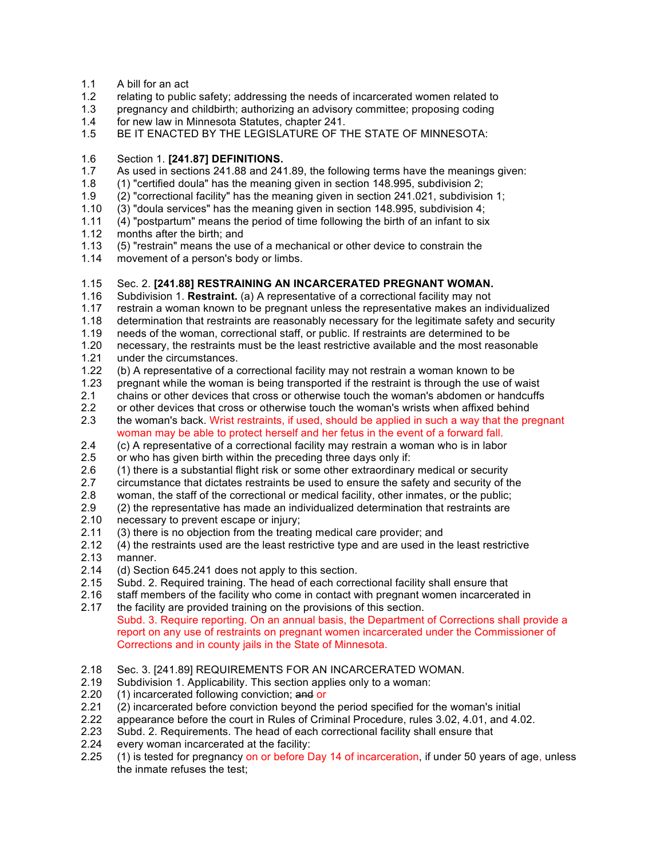- 1.1 A bill for an act
- 1.2 relating to public safety; addressing the needs of incarcerated women related to
- 1.3 pregnancy and childbirth; authorizing an advisory committee; proposing coding
- 1.4 for new law in Minnesota Statutes, chapter 241.
- 1.5 BE IT ENACTED BY THE LEGISLATURE OF THE STATE OF MINNESOTA:

#### 1.6 Section 1. **[241.87] DEFINITIONS.**

- 1.7 As used in sections 241.88 and 241.89, the following terms have the meanings given:
- 1.8 (1) "certified doula" has the meaning given in section 148.995, subdivision 2;
- 1.9 (2) "correctional facility" has the meaning given in section 241.021, subdivision 1;
- 1.10 (3) "doula services" has the meaning given in section 148.995, subdivision 4;
- 1.11 (4) "postpartum" means the period of time following the birth of an infant to six
- 1.12 months after the birth; and
- 1.13 (5) "restrain" means the use of a mechanical or other device to constrain the
- 1.14 movement of a person's body or limbs.

#### 1.15 Sec. 2. **[241.88] RESTRAINING AN INCARCERATED PREGNANT WOMAN.**

- 1.16 Subdivision 1. **Restraint.** (a) A representative of a correctional facility may not
- 1.17 restrain a woman known to be pregnant unless the representative makes an individualized
- 1.18 determination that restraints are reasonably necessary for the legitimate safety and security<br>1.19 needs of the woman, correctional staff, or public. If restraints are determined to be
- 1.19 needs of the woman, correctional staff, or public. If restraints are determined to be
- 1.20 necessary, the restraints must be the least restrictive available and the most reasonable
- 1.21 under the circumstances.
- 1.22 (b) A representative of a correctional facility may not restrain a woman known to be
- 1.23 pregnant while the woman is being transported if the restraint is through the use of waist
- 2.1 chains or other devices that cross or otherwise touch the woman's abdomen or handcuffs
- 2.2 or other devices that cross or otherwise touch the woman's wrists when affixed behind
- 2.3 the woman's back. Wrist restraints, if used, should be applied in such a way that the pregnant woman may be able to protect herself and her fetus in the event of a forward fall.
- 2.4 (c) A representative of a correctional facility may restrain a woman who is in labor
- 2.5 or who has given birth within the preceding three days only if:
- 2.6 (1) there is a substantial flight risk or some other extraordinary medical or security
- 2.7 circumstance that dictates restraints be used to ensure the safety and security of the
- 2.8 woman, the staff of the correctional or medical facility, other inmates, or the public;
- 2.9 (2) the representative has made an individualized determination that restraints are
- 2.10 necessary to prevent escape or injury;
- 2.11 (3) there is no objection from the treating medical care provider; and
- 2.12 (4) the restraints used are the least restrictive type and are used in the least restrictive
- 2.13 manner.
- 2.14 (d) Section 645.241 does not apply to this section.
- 2.15 Subd. 2. Required training. The head of each correctional facility shall ensure that
- 2.16 staff members of the facility who come in contact with pregnant women incarcerated in
- 2.17 the facility are provided training on the provisions of this section. Subd. 3. Require reporting. On an annual basis, the Department of Corrections shall provide a report on any use of restraints on pregnant women incarcerated under the Commissioner of Corrections and in county jails in the State of Minnesota.
- 2.18 Sec. 3. [241.89] REQUIREMENTS FOR AN INCARCERATED WOMAN.
- 2.19 Subdivision 1. Applicability. This section applies only to a woman:
- 2.20 (1) incarcerated following conviction; and or
- 2.21 (2) incarcerated before conviction beyond the period specified for the woman's initial
- 2.22 appearance before the court in Rules of Criminal Procedure, rules 3.02, 4.01, and 4.02.
- 2.23 Subd. 2. Requirements. The head of each correctional facility shall ensure that
- 2.24 every woman incarcerated at the facility:<br>2.25 (1) is tested for pregnancy on or before  $\overline{L}$
- (1) is tested for pregnancy on or before Day 14 of incarceration, if under 50 years of age, unless the inmate refuses the test;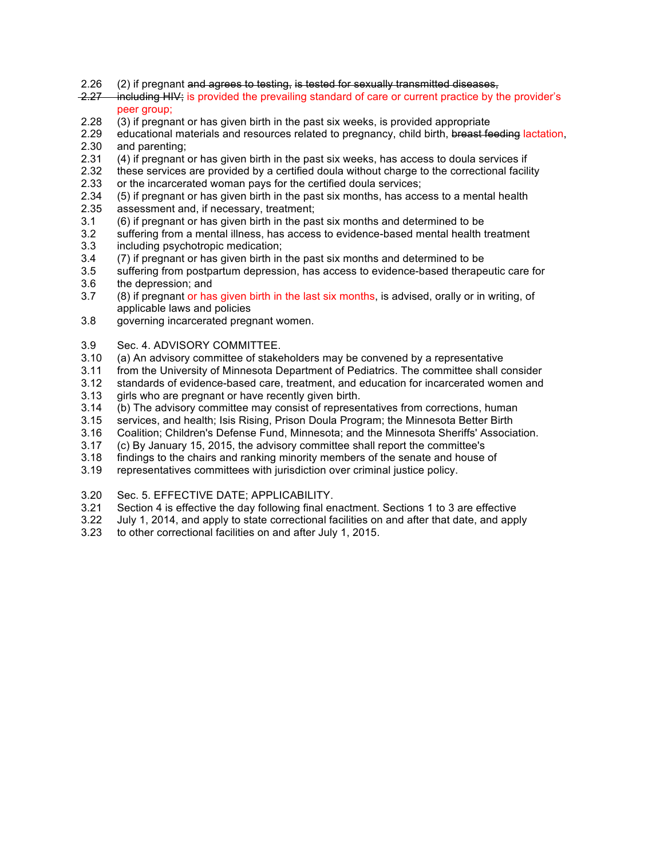- 2.26 (2) if pregnant and agrees to testing, is tested for sexually transmitted diseases,
- 2.27 including HIV; is provided the prevailing standard of care or current practice by the provider's peer group;
- 2.28 (3) if pregnant or has given birth in the past six weeks, is provided appropriate
- 2.29 educational materials and resources related to pregnancy, child birth, breast feeding lactation, 2.30 and parenting;
- 2.31 (4) if pregnant or has given birth in the past six weeks, has access to doula services if
- 2.32 these services are provided by a certified doula without charge to the correctional facility
- 2.33 or the incarcerated woman pays for the certified doula services;<br>2.34 (5) if pregnant or has given birth in the past six months, has acce
- 2.34 (5) if pregnant or has given birth in the past six months, has access to a mental health
- 2.35 assessment and, if necessary, treatment;
- 3.1 (6) if pregnant or has given birth in the past six months and determined to be
- suffering from a mental illness, has access to evidence-based mental health treatment
- 3.3 including psychotropic medication;
- 3.4 (7) if pregnant or has given birth in the past six months and determined to be
- 3.5 suffering from postpartum depression, has access to evidence-based therapeutic care for
- 3.6 the depression; and
- 3.7 (8) if pregnant or has given birth in the last six months, is advised, orally or in writing, of applicable laws and policies
- 3.8 governing incarcerated pregnant women.
- 3.9 Sec. 4. ADVISORY COMMITTEE.
- 3.10 (a) An advisory committee of stakeholders may be convened by a representative
- 3.11 from the University of Minnesota Department of Pediatrics. The committee shall consider
- 3.12 standards of evidence-based care, treatment, and education for incarcerated women and
- 3.13 girls who are pregnant or have recently given birth.
- 3.14 (b) The advisory committee may consist of representatives from corrections, human
- 3.15 services, and health; Isis Rising, Prison Doula Program; the Minnesota Better Birth
- 3.16 Coalition; Children's Defense Fund, Minnesota; and the Minnesota Sheriffs' Association.
- 3.17 (c) By January 15, 2015, the advisory committee shall report the committee's
- 3.18 findings to the chairs and ranking minority members of the senate and house of
- 3.19 representatives committees with jurisdiction over criminal justice policy.
- 3.20 Sec. 5. EFFECTIVE DATE; APPLICABILITY.
- 3.21 Section 4 is effective the day following final enactment. Sections 1 to 3 are effective
- 3.22 July 1, 2014, and apply to state correctional facilities on and after that date, and apply
- 3.23 to other correctional facilities on and after July 1, 2015.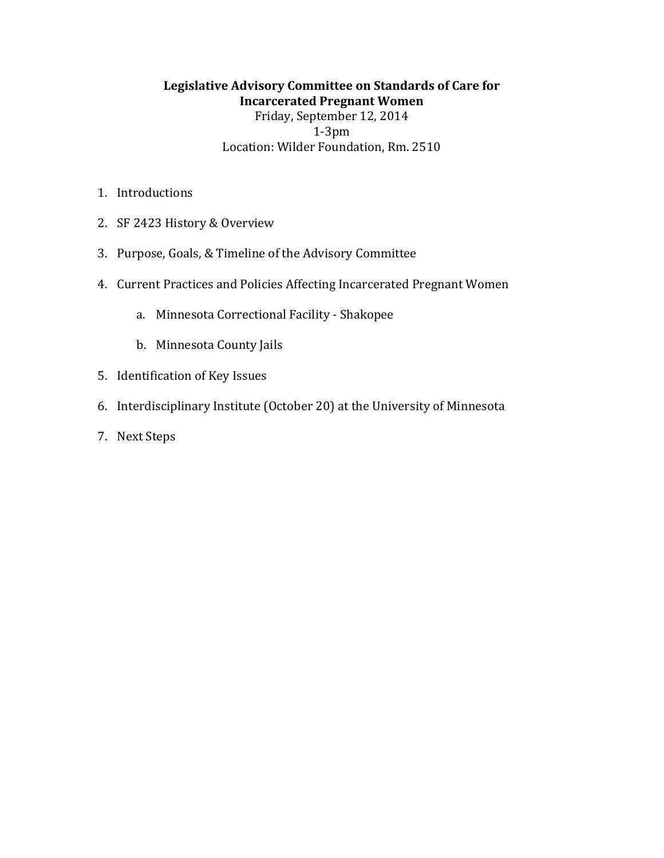# Legislative Advisory Committee on Standards of Care for **Incarcerated Pregnant Women** Friday, September 12, 2014  $1-3$ pm Location: Wilder Foundation, Rm. 2510

- 1. Introductions
- 2. SF 2423 History & Overview
- 3. Purpose, Goals, & Timeline of the Advisory Committee
- 4. Current Practices and Policies Affecting Incarcerated Pregnant Women
	- a. Minnesota Correctional Facility Shakopee
	- b. Minnesota County Jails
- 5. Identification of Key Issues
- 6. Interdisciplinary Institute (October 20) at the University of Minnesota
- 7. Next Steps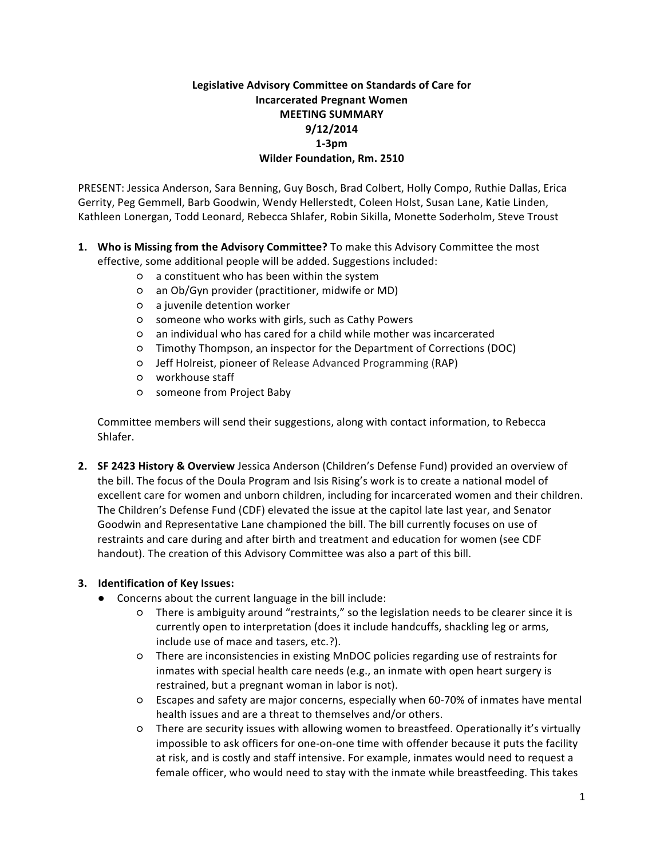# Legislative Advisory Committee on Standards of Care for **Incarcerated Pregnant Women MEETING SUMMARY 9/12/2014 1G3pm Wilder Foundation, Rm. 2510**

PRESENT: Jessica Anderson, Sara Benning, Guy Bosch, Brad Colbert, Holly Compo, Ruthie Dallas, Erica Gerrity, Peg Gemmell, Barb Goodwin, Wendy Hellerstedt, Coleen Holst, Susan Lane, Katie Linden, Kathleen Lonergan, Todd Leonard, Rebecca Shlafer, Robin Sikilla, Monette Soderholm, Steve Troust

- **1.** Who is Missing from the Advisory Committee? To make this Advisory Committee the most effective, some additional people will be added. Suggestions included:
	- o a constituent who has been within the system
	- $\circ$  an Ob/Gyn provider (practitioner, midwife or MD)
	- o a juvenile detention worker
	- $\circ$  someone who works with girls, such as Cathy Powers
	- $o$  an individual who has cared for a child while mother was incarcerated
	- $\circ$  Timothy Thompson, an inspector for the Department of Corrections (DOC)
	- O Jeff Holreist, pioneer of Release Advanced Programming (RAP)
	- o workhouse staff
	- o someone from Project Baby

Committee members will send their suggestions, along with contact information, to Rebecca Shlafer.

2. **SF 2423 History & Overview** Jessica Anderson (Children's Defense Fund) provided an overview of the bill. The focus of the Doula Program and Isis Rising's work is to create a national model of excellent care for women and unborn children, including for incarcerated women and their children. The Children's Defense Fund (CDF) elevated the issue at the capitol late last year, and Senator Goodwin and Representative Lane championed the bill. The bill currently focuses on use of restraints and care during and after birth and treatment and education for women (see CDF") handout). The creation of this Advisory Committee was also a part of this bill.

## **3.** Identification of Key Issues:

- Concerns about the current language in the bill include:
	- $\circ$  There is ambiguity around "restraints," so the legislation needs to be clearer since it is currently open to interpretation (does it include handcuffs, shackling leg or arms, include use of mace and tasers, etc.?).
	- o There are inconsistencies in existing MnDOC policies regarding use of restraints for inmates with special health care needs (e.g., an inmate with open heart surgery is restrained, but a pregnant woman in labor is not).
	- $\circ$  Escapes and safety are major concerns, especially when 60-70% of inmates have mental health issues and are a threat to themselves and/or others.
	- $\circ$  There are security issues with allowing women to breastfeed. Operationally it's virtually impossible to ask officers for one-on-one time with offender because it puts the facility at risk, and is costly and staff intensive. For example, inmates would need to request a female officer, who would need to stay with the inmate while breastfeeding. This takes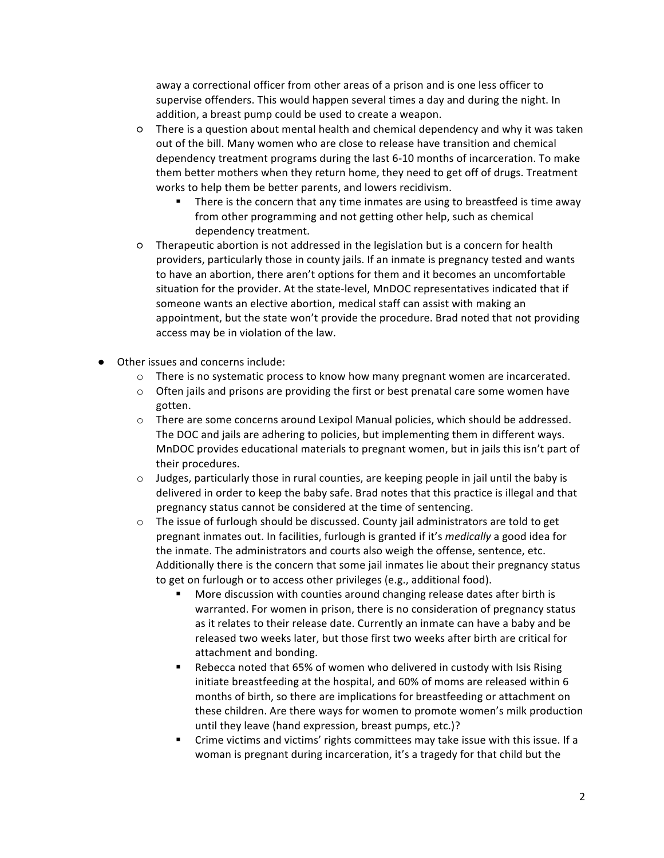away a correctional officer from other areas of a prison and is one less officer to supervise offenders. This would happen several times a day and during the night. In addition, a breast pump could be used to create a weapon.

- $\circ$  There is a question about mental health and chemical dependency and why it was taken out of the bill. Many women who are close to release have transition and chemical dependency treatment programs during the last 6-10 months of incarceration. To make them better mothers when they return home, they need to get off of drugs. Treatment works to help them be better parents, and lowers recidivism.
	- " There is the concern that any time inmates are using to breastfeed is time away from other programming and not getting other help, such as chemical dependency treatment.
- $\circ$  Therapeutic abortion is not addressed in the legislation but is a concern for health providers, particularly those in county jails. If an inmate is pregnancy tested and wants to have an abortion, there aren't options for them and it becomes an uncomfortable situation for the provider. At the state-level, MnDOC representatives indicated that if someone wants an elective abortion, medical staff can assist with making an appointment, but the state won't provide the procedure. Brad noted that not providing access may be in violation of the law.
- Other issues and concerns include:
	- $\circ$  There is no systematic process to know how many pregnant women are incarcerated.
	- $\circ$  Often jails and prisons are providing the first or best prenatal care some women have gotten.
	- $\circ$  There are some concerns around Lexipol Manual policies, which should be addressed. The DOC and jails are adhering to policies, but implementing them in different ways. MnDOC provides educational materials to pregnant women, but in jails this isn't part of their procedures.
	- $\circ$  Judges, particularly those in rural counties, are keeping people in jail until the baby is delivered in order to keep the baby safe. Brad notes that this practice is illegal and that pregnancy status cannot be considered at the time of sentencing.
	- $\circ$  The issue of furlough should be discussed. County jail administrators are told to get pregnant inmates out. In facilities, furlough is granted if it's *medically* a good idea for the inmate. The administrators and courts also weigh the offense, sentence, etc. Additionally there is the concern that some jail inmates lie about their pregnancy status to get on furlough or to access other privileges (e.g., additional food).
		- More discussion with counties around changing release dates after birth is warranted. For women in prison, there is no consideration of pregnancy status as it relates to their release date. Currently an inmate can have a baby and be released two weeks later, but those first two weeks after birth are critical for attachment and bonding.
		- Rebecca noted that 65% of women who delivered in custody with Isis Rising initiate breastfeeding at the hospital, and 60% of moms are released within 6 months of birth, so there are implications for breastfeeding or attachment on these children. Are there ways for women to promote women's milk production until they leave (hand expression, breast pumps, etc.)?
		- Crime victims and victims' rights committees may take issue with this issue. If a woman is pregnant during incarceration, it's a tragedy for that child but the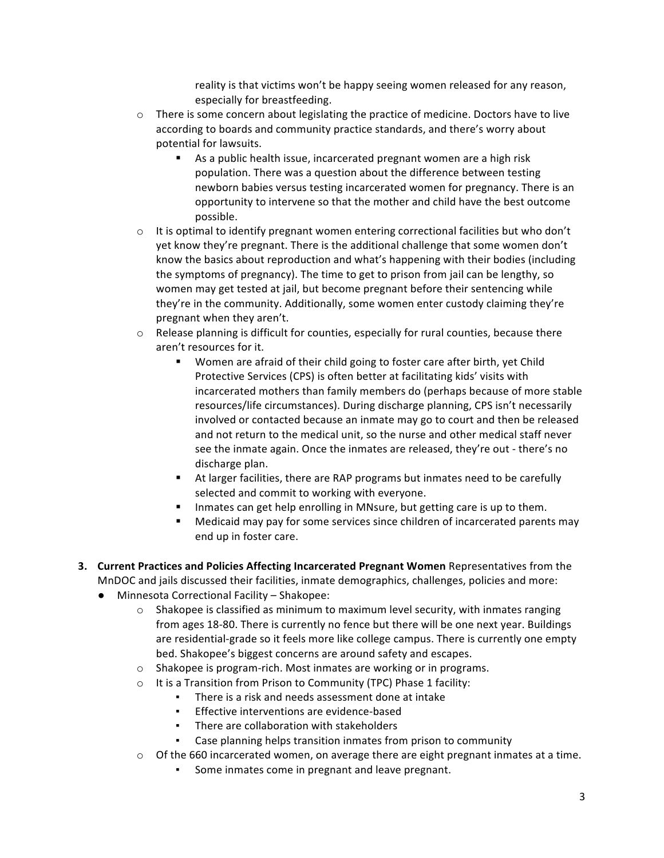reality is that victims won't be happy seeing women released for any reason, especially for breastfeeding.

- $\circ$  There is some concern about legislating the practice of medicine. Doctors have to live according to boards and community practice standards, and there's worry about potential for lawsuits.
	- As a public health issue, incarcerated pregnant women are a high risk population. There was a question about the difference between testing newborn babies versus testing incarcerated women for pregnancy. There is an opportunity to intervene so that the mother and child have the best outcome possible."
- $\circ$  It is optimal to identify pregnant women entering correctional facilities but who don't yet know they're pregnant. There is the additional challenge that some women don't know the basics about reproduction and what's happening with their bodies (including the symptoms of pregnancy). The time to get to prison from jail can be lengthy, so women may get tested at jail, but become pregnant before their sentencing while they're in the community. Additionally, some women enter custody claiming they're pregnant when they aren't.
- $\circ$  Release planning is difficult for counties, especially for rural counties, because there aren't resources for it.
	- " Women are afraid of their child going to foster care after birth, yet Child Protective Services (CPS) is often better at facilitating kids' visits with incarcerated mothers than family members do (perhaps because of more stable) resources/life circumstances). During discharge planning, CPS isn't necessarily involved or contacted because an inmate may go to court and then be released and not return to the medical unit, so the nurse and other medical staff never see the inmate again. Once the inmates are released, they're out - there's no discharge plan.
	- " At larger facilities, there are RAP programs but inmates need to be carefully selected and commit to working with everyone.
	- " Inmates can get help enrolling in MNsure, but getting care is up to them.
	- Medicaid may pay for some services since children of incarcerated parents may end up in foster care.
- **3. Current Practices and Policies Affecting Incarcerated Pregnant Women Representatives from the** MnDOC and jails discussed their facilities, inmate demographics, challenges, policies and more:
	- Minnesota Correctional Facility Shakopee:
		- $\circ$  Shakopee is classified as minimum to maximum level security, with inmates ranging from ages 18-80. There is currently no fence but there will be one next year. Buildings are residential-grade so it feels more like college campus. There is currently one empty bed. Shakopee's biggest concerns are around safety and escapes.
		- $\circ$  Shakopee is program-rich. Most inmates are working or in programs.
		- $\circ$  It is a Transition from Prison to Community (TPC) Phase 1 facility:
			- There is a risk and needs assessment done at intake
			- Effective interventions are evidence-based
			- There are collaboration with stakeholders
			- Case planning helps transition inmates from prison to community
		- $\circ$  Of the 660 incarcerated women, on average there are eight pregnant inmates at a time.
			- Some inmates come in pregnant and leave pregnant.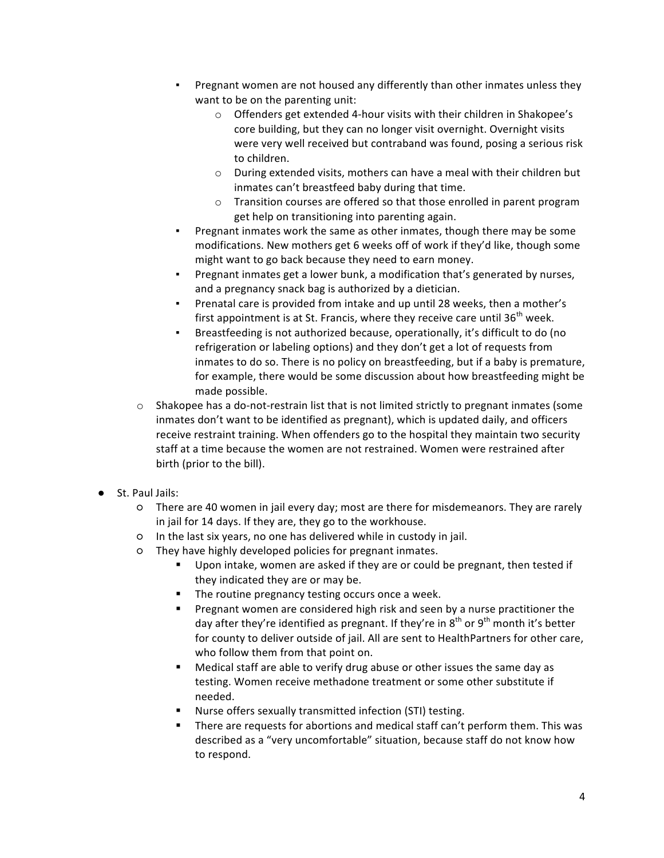- Pregnant women are not housed any differently than other inmates unless they want to be on the parenting unit:
	- $\circ$  Offenders get extended 4-hour visits with their children in Shakopee's core building, but they can no longer visit overnight. Overnight visits were very well received but contraband was found, posing a serious risk to children.
	- $\circ$  During extended visits, mothers can have a meal with their children but inmates can't breastfeed baby during that time.
	- $\circ$  Transition courses are offered so that those enrolled in parent program get help on transitioning into parenting again.
- Pregnant inmates work the same as other inmates, though there may be some modifications. New mothers get 6 weeks off of work if they'd like, though some might want to go back because they need to earn money.
- Pregnant inmates get a lower bunk, a modification that's generated by nurses, and a pregnancy snack bag is authorized by a dietician.
- Prenatal care is provided from intake and up until 28 weeks, then a mother's first appointment is at St. Francis, where they receive care until  $36<sup>th</sup>$  week.
- Breastfeeding is not authorized because, operationally, it's difficult to do (no refrigeration or labeling options) and they don't get a lot of requests from inmates to do so. There is no policy on breastfeeding, but if a baby is premature, for example, there would be some discussion about how breastfeeding might be made possible.
- $\circ$  Shakopee has a do-not-restrain list that is not limited strictly to pregnant inmates (some inmates don't want to be identified as pregnant), which is updated daily, and officers receive restraint training. When offenders go to the hospital they maintain two security staff at a time because the women are not restrained. Women were restrained after birth (prior to the bill).
- St. Paul Jails:
	- $\circ$  There are 40 women in jail every day; most are there for misdemeanors. They are rarely in jail for 14 days. If they are, they go to the workhouse.
	- $O$  In the last six years, no one has delivered while in custody in jail.
	- $O$  They have highly developed policies for pregnant inmates.
		- Upon intake, women are asked if they are or could be pregnant, then tested if they indicated they are or may be.
		- The routine pregnancy testing occurs once a week.
		- Pregnant women are considered high risk and seen by a nurse practitioner the day after they're identified as pregnant. If they're in  $8<sup>th</sup>$  or  $9<sup>th</sup>$  month it's better for county to deliver outside of jail. All are sent to HealthPartners for other care, who follow them from that point on.
		- Medical staff are able to verify drug abuse or other issues the same day as testing. Women receive methadone treatment or some other substitute if needed."
		- Nurse offers sexually transmitted infection (STI) testing.
		- There are requests for abortions and medical staff can't perform them. This was described as a "very uncomfortable" situation, because staff do not know how to respond.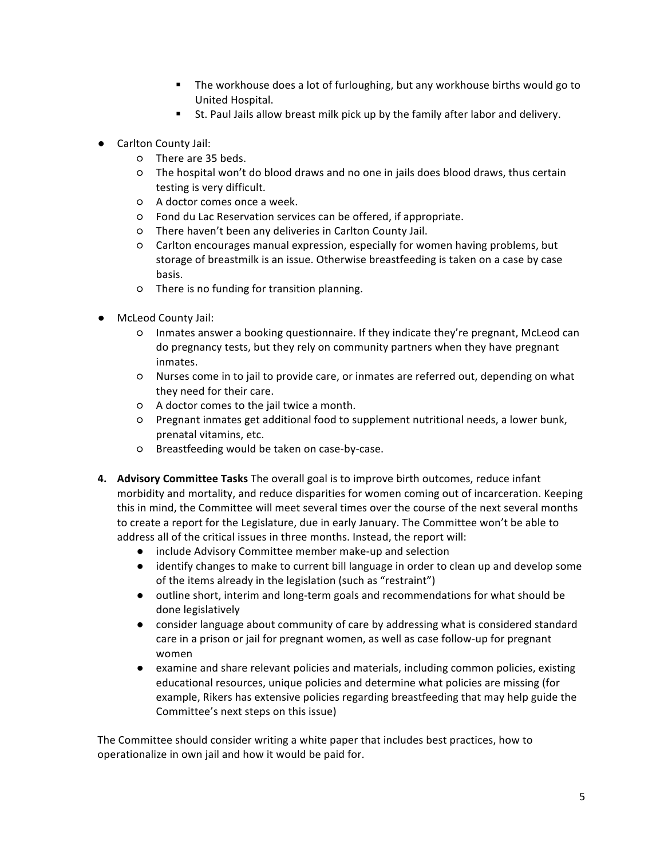- " The workhouse does a lot of furloughing, but any workhouse births would go to United Hospital.
- " St. Paul Jails allow breast milk pick up by the family after labor and delivery.
- Carlton County Jail:
	- o There are 35 beds.
	- $\circ$  The hospital won't do blood draws and no one in jails does blood draws, thus certain testing is very difficult.
	- o A doctor comes once a week.
	- $O$  Fond du Lac Reservation services can be offered, if appropriate.
	- $O$  There haven't been any deliveries in Carlton County Jail.
	- $\circ$  Carlton encourages manual expression, especially for women having problems, but storage of breastmilk is an issue. Otherwise breastfeeding is taken on a case by case basis."
	- $\circ$  There is no funding for transition planning.
- McLeod County Jail:
	- $\circ$  Inmates answer a booking questionnaire. If they indicate they're pregnant, McLeod can do pregnancy tests, but they rely on community partners when they have pregnant inmates.
	- $\circ$  Nurses come in to jail to provide care, or inmates are referred out, depending on what they need for their care.
	- $O$  A doctor comes to the jail twice a month.
	- Pregnant"inmates"get"additional"food"to"supplement"nutritional"needs,"a"lower"bunk," prenatal vitamins, etc.
	- o Breastfeeding would be taken on case-by-case.
- **4.** Advisory Committee Tasks The overall goal is to improve birth outcomes, reduce infant morbidity and mortality, and reduce disparities for women coming out of incarceration. Keeping this in mind, the Committee will meet several times over the course of the next several months to create a report for the Legislature, due in early January. The Committee won't be able to address all of the critical issues in three months. Instead, the report will:
	- include Advisory Committee member make-up and selection
	- identify changes to make to current bill language in order to clean up and develop some of the items already in the legislation (such as "restraint")
	- outline short, interim and long-term goals and recommendations for what should be done legislatively
	- consider language about community of care by addressing what is considered standard care in a prison or jail for pregnant women, as well as case follow-up for pregnant women
	- examine and share relevant policies and materials, including common policies, existing educational resources, unique policies and determine what policies are missing (for example, Rikers has extensive policies regarding breastfeeding that may help guide the Committee's next steps on this issue)

The Committee should consider writing a white paper that includes best practices, how to operationalize in own jail and how it would be paid for.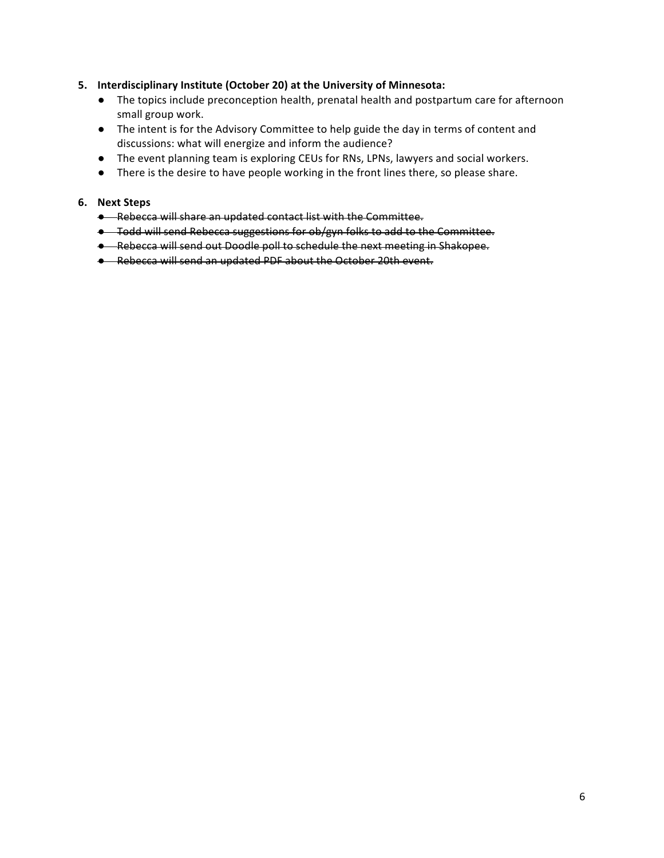## **5.** Interdisciplinary Institute (October 20) at the University of Minnesota:

- The topics include preconception health, prenatal health and postpartum care for afternoon small group work.
- The intent is for the Advisory Committee to help guide the day in terms of content and discussions: what will energize and inform the audience?
- The event planning team is exploring CEUs for RNs, LPNs, lawyers and social workers.
- There is the desire to have people working in the front lines there, so please share.

#### **6. Next Steps**

- Rebecca will share an updated contact list with the Committee.
- Todd will send Rebecca suggestions for ob/gyn folks to add to the Committee.
- Rebecca will send out Doodle poll to schedule the next meeting in Shakopee.
- Rebecca will send an updated PDF about the October 20th event.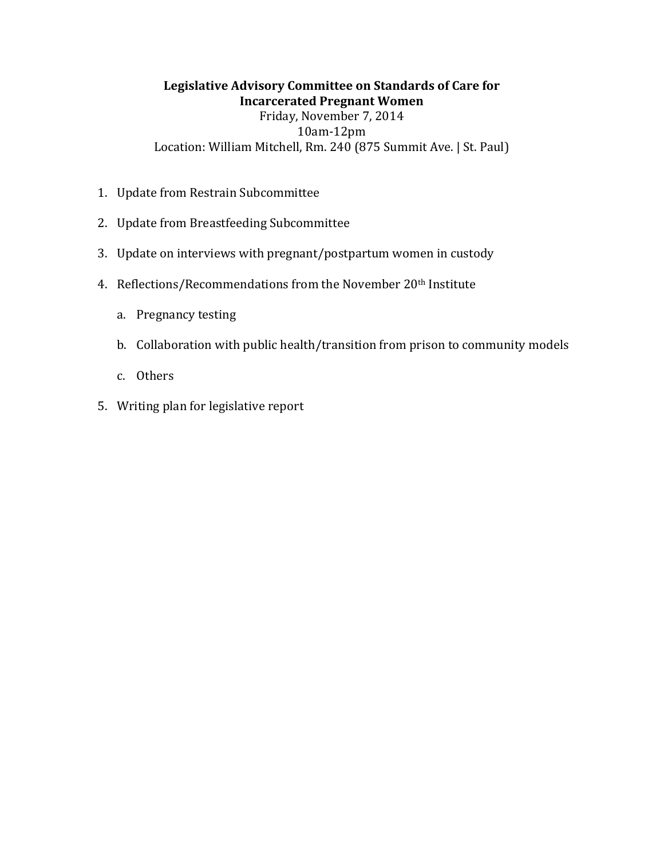# Legislative Advisory Committee on Standards of Care for **Incarcerated Pregnant Women** Friday, November 7, 2014  $10$ am- $12$ pm Location: William Mitchell, Rm. 240 (875 Summit Ave. | St. Paul)

- 1. Update from Restrain Subcommittee
- 2. Update from Breastfeeding Subcommittee
- 3. Update on interviews with pregnant/postpartum women in custody
- 4. Reflections/Recommendations from the November  $20<sup>th</sup>$  Institute
	- a. Pregnancy testing
	- b. Collaboration with public health/transition from prison to community models
	- c. Others
- 5. Writing plan for legislative report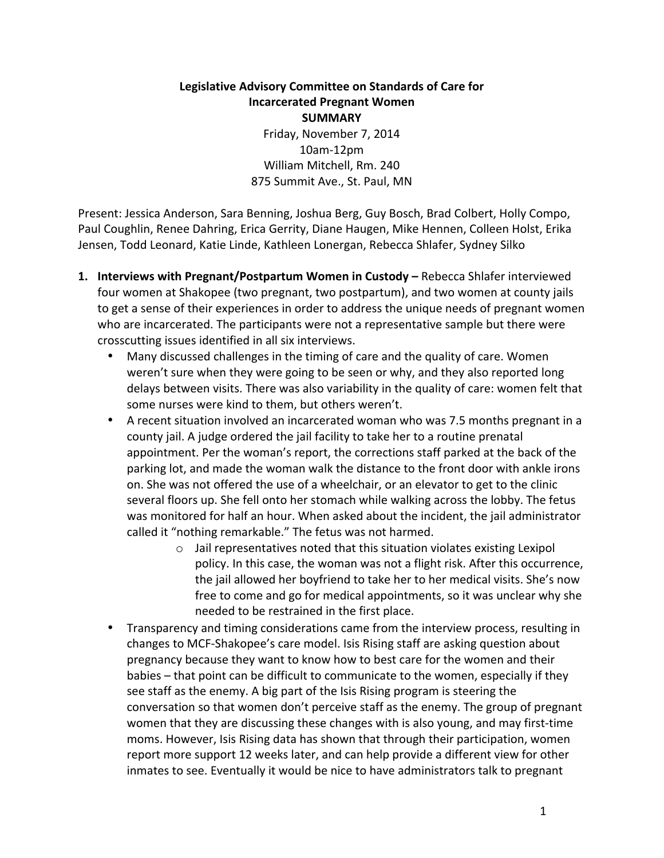Legislative Advisory Committee on Standards of Care for **Incarcerated Pregnant Women SUMMARY** Friday, November 7, 2014 10am412pm William Mitchell, Rm. 240

875 Summit Ave., St. Paul, MN

Present: Jessica Anderson, Sara Benning, Joshua Berg, Guy Bosch, Brad Colbert, Holly Compo, Paul Coughlin, Renee Dahring, Erica Gerrity, Diane Haugen, Mike Hennen, Colleen Holst, Erika Jensen, Todd Leonard, Katie Linde, Kathleen Lonergan, Rebecca Shlafer, Sydney Silko

- **1. Interviews with Pregnant/Postpartum Women in Custody** Rebecca Shlafer interviewed four women at Shakopee (two pregnant, two postpartum), and two women at county jails to get a sense of their experiences in order to address the unique needs of pregnant women who are incarcerated. The participants were not a representative sample but there were crosscutting issues identified in all six interviews.
	- Many discussed challenges in the timing of care and the quality of care. Women weren't sure when they were going to be seen or why, and they also reported long delays between visits. There was also variability in the quality of care: women felt that some nurses were kind to them, but others weren't.
	- A recent situation involved an incarcerated woman who was 7.5 months pregnant in a county jail. A judge ordered the jail facility to take her to a routine prenatal appointment. Per the woman's report, the corrections staff parked at the back of the parking lot, and made the woman walk the distance to the front door with ankle irons on. She was not offered the use of a wheelchair, or an elevator to get to the clinic several floors up. She fell onto her stomach while walking across the lobby. The fetus was monitored for half an hour. When asked about the incident, the jail administrator called it "nothing remarkable." The fetus was not harmed.
		- $\circ$  Jail representatives noted that this situation violates existing Lexipol policy. In this case, the woman was not a flight risk. After this occurrence, the jail allowed her boyfriend to take her to her medical visits. She's now free to come and go for medical appointments, so it was unclear why she needed to be restrained in the first place.
	- Transparency and timing considerations came from the interview process, resulting in changes to MCF-Shakopee's care model. Isis Rising staff are asking question about pregnancy because they want to know how to best care for the women and their babies – that point can be difficult to communicate to the women, especially if they see staff as the enemy. A big part of the Isis Rising program is steering the conversation so that women don't perceive staff as the enemy. The group of pregnant women that they are discussing these changes with is also young, and may first-time moms. However, Isis Rising data has shown that through their participation, women report more support 12 weeks later, and can help provide a different view for other inmates to see. Eventually it would be nice to have administrators talk to pregnant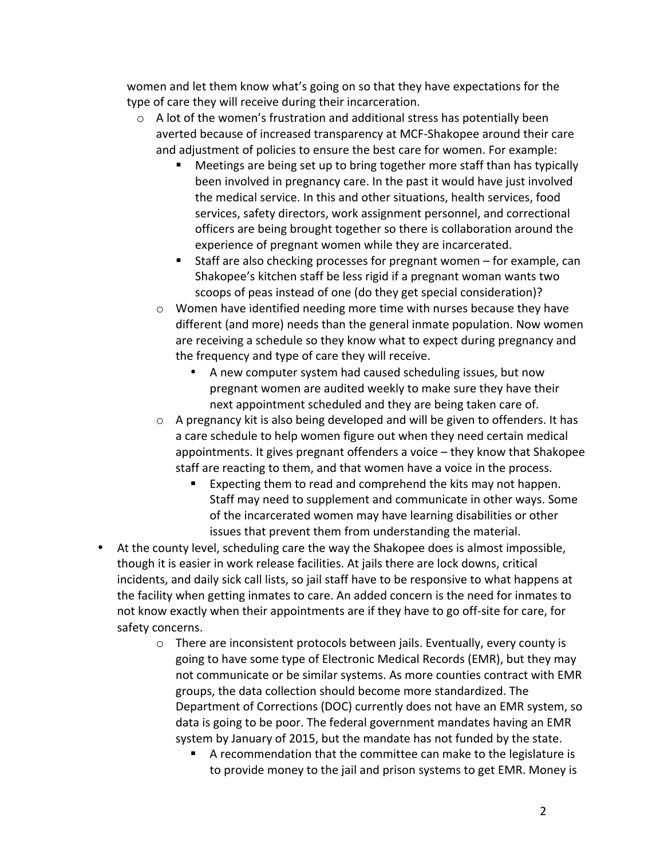women and let them know what's going on so that they have expectations for the type of care they will receive during their incarceration.

- $\circ$  A lot of the women's frustration and additional stress has potentially been averted because of increased transparency at MCF-Shakopee around their care and adjustment of policies to ensure the best care for women. For example:
	- Meetings are being set up to bring together more staff than has typically been involved in pregnancy care. In the past it would have just involved the medical service. In this and other situations, health services, food services, safety directors, work assignment personnel, and correctional officers are being brought together so there is collaboration around the experience of pregnant women while they are incarcerated.
	- Staff are also checking processes for pregnant women for example, can Shakopee's kitchen staff be less rigid if a pregnant woman wants two scoops of peas instead of one (do they get special consideration)?
	- $\circ$  Women have identified needing more time with nurses because they have different (and more) needs than the general inmate population. Now women are receiving a schedule so they know what to expect during pregnancy and the frequency and type of care they will receive.
		- A new computer system had caused scheduling issues, but now pregnant women are audited weekly to make sure they have their next appointment scheduled and they are being taken care of.
	- $\circ$  A pregnancy kit is also being developed and will be given to offenders. It has a care schedule to help women figure out when they need certain medical appointments. It gives pregnant offenders a voice – they know that Shakopee staff are reacting to them, and that women have a voice in the process.
		- Expecting them to read and comprehend the kits may not happen. Staff may need to supplement and communicate in other ways. Some of the incarcerated women may have learning disabilities or other issues that prevent them from understanding the material.
- At the county level, scheduling care the way the Shakopee does is almost impossible, though it is easier in work release facilities. At jails there are lock downs, critical incidents, and daily sick call lists, so jail staff have to be responsive to what happens at the facility when getting inmates to care. An added concern is the need for inmates to not know exactly when their appointments are if they have to go off-site for care, for safety concerns.
	- $\circ$  There are inconsistent protocols between jails. Eventually, every county is going to have some type of Electronic Medical Records (EMR), but they may not communicate or be similar systems. As more counties contract with EMR groups, the data collection should become more standardized. The Department of Corrections (DOC) currently does not have an EMR system, so data is going to be poor. The federal government mandates having an EMR system by January of 2015, but the mandate has not funded by the state.
		- A recommendation that the committee can make to the legislature is to provide money to the jail and prison systems to get EMR. Money is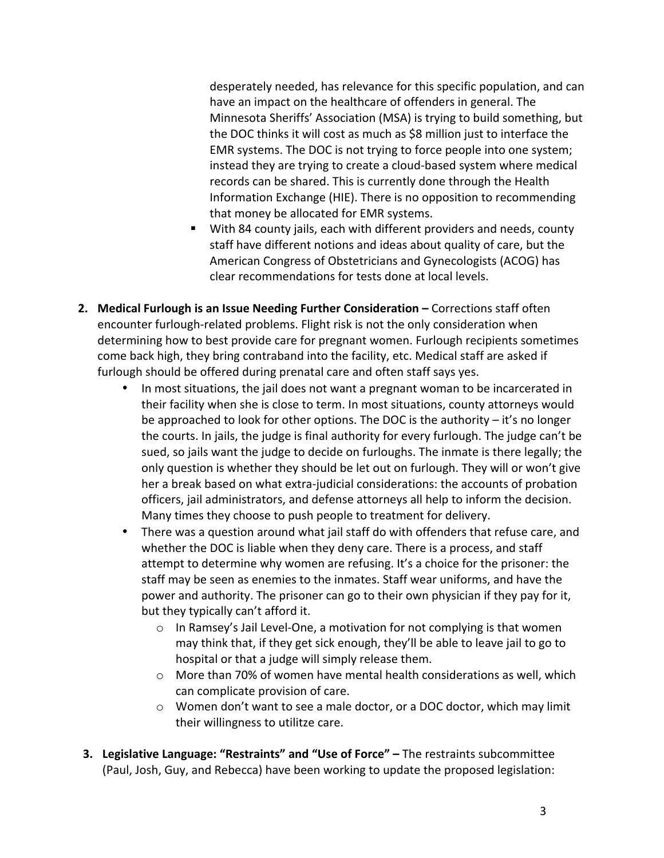desperately needed, has relevance for this specific population, and can have an impact on the healthcare of offenders in general. The Minnesota Sheriffs' Association (MSA) is trying to build something, but the DOC thinks it will cost as much as \$8 million just to interface the EMR systems. The DOC is not trying to force people into one system; instead they are trying to create a cloud-based system where medical records can be shared. This is currently done through the Health Information Exchange (HIE). There is no opposition to recommending that money be allocated for EMR systems.

- " With 84 county jails, each with different providers and needs, county staff have different notions and ideas about quality of care, but the American Congress of Obstetricians and Gynecologists (ACOG) has clear recommendations for tests done at local levels.
- **2.** Medical Furlough is an Issue Needing Further Consideration Corrections staff often encounter furlough-related problems. Flight risk is not the only consideration when determining how to best provide care for pregnant women. Furlough recipients sometimes come back high, they bring contraband into the facility, etc. Medical staff are asked if furlough should be offered during prenatal care and often staff says yes.
	- In most situations, the jail does not want a pregnant woman to be incarcerated in their facility when she is close to term. In most situations, county attorneys would be approached to look for other options. The DOC is the authority  $-$  it's no longer the courts. In jails, the judge is final authority for every furlough. The judge can't be sued, so jails want the judge to decide on furloughs. The inmate is there legally; the only question is whether they should be let out on furlough. They will or won't give her a break based on what extra-judicial considerations: the accounts of probation officers, jail administrators, and defense attorneys all help to inform the decision. Many times they choose to push people to treatment for delivery.
	- There was a question around what jail staff do with offenders that refuse care, and whether the DOC is liable when they deny care. There is a process, and staff attempt to determine why women are refusing. It's a choice for the prisoner: the staff may be seen as enemies to the inmates. Staff wear uniforms, and have the power and authority. The prisoner can go to their own physician if they pay for it, but they typically can't afford it.
		- o In Ramsey's Jail Level-One, a motivation for not complying is that women may think that, if they get sick enough, they'll be able to leave jail to go to hospital or that a judge will simply release them.
		- $\circ$  More than 70% of women have mental health considerations as well, which can complicate provision of care.
		- $\circ$  Women don't want to see a male doctor, or a DOC doctor, which may limit their willingness to utilitze care.
- **3. Legislative Language: "Restraints" and "Use of Force" The restraints subcommittee** (Paul, Josh, Guy, and Rebecca) have been working to update the proposed legislation: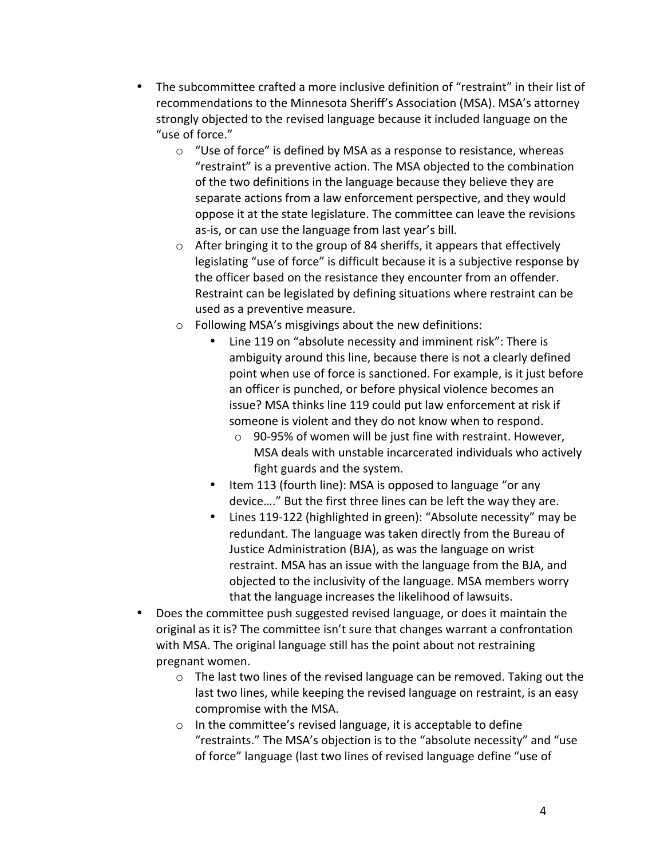- The subcommittee crafted a more inclusive definition of "restraint" in their list of recommendations to the Minnesota Sheriff's Association (MSA). MSA's attorney strongly objected to the revised language because it included language on the "use of force."
	- $\circ$  "Use of force" is defined by MSA as a response to resistance, whereas "restraint" is a preventive action. The MSA objected to the combination of the two definitions in the language because they believe they are separate actions from a law enforcement perspective, and they would oppose it at the state legislature. The committee can leave the revisions as-is, or can use the language from last year's bill.
	- $\circ$  After bringing it to the group of 84 sheriffs, it appears that effectively legislating "use of force" is difficult because it is a subjective response by the officer based on the resistance they encounter from an offender. Restraint can be legislated by defining situations where restraint can be used as a preventive measure.
	- $\circ$  Following MSA's misgivings about the new definitions:
		- Line 119 on "absolute necessity and imminent risk": There is ambiguity around this line, because there is not a clearly defined point when use of force is sanctioned. For example, is it just before an officer is punched, or before physical violence becomes an issue? MSA thinks line 119 could put law enforcement at risk if someone is violent and they do not know when to respond.
			- $\circ$  90-95% of women will be just fine with restraint. However, MSA deals with unstable incarcerated individuals who actively fight guards and the system.
		- Item 113 (fourth line): MSA is opposed to language "or any" device...." But the first three lines can be left the way they are.
		- Lines 119-122 (highlighted in green): "Absolute necessity" may be redundant. The language was taken directly from the Bureau of Justice Administration (BJA), as was the language on wrist restraint. MSA has an issue with the language from the BJA, and objected to the inclusivity of the language. MSA members worry that the language increases the likelihood of lawsuits.
- Does the committee push suggested revised language, or does it maintain the original as it is? The committee isn't sure that changes warrant a confrontation with MSA. The original language still has the point about not restraining pregnant women.
	- $\circ$  The last two lines of the revised language can be removed. Taking out the last two lines, while keeping the revised language on restraint, is an easy compromise with the MSA.
	- $\circ$  In the committee's revised language, it is acceptable to define "restraints." The MSA's objection is to the "absolute necessity" and "use of force" language (last two lines of revised language define "use of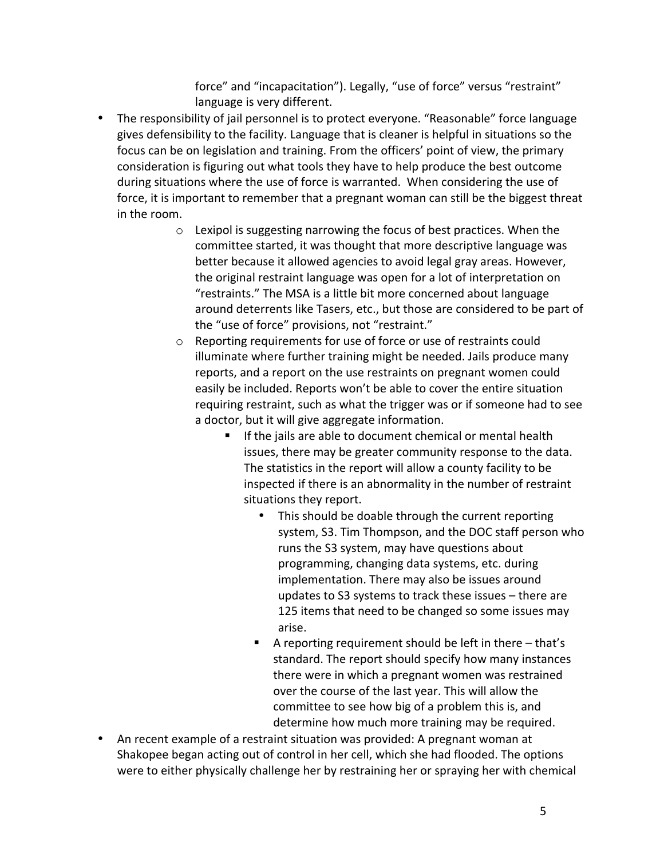force" and "incapacitation"). Legally, "use of force" versus "restraint" language is very different.

- The responsibility of jail personnel is to protect everyone. "Reasonable" force language gives defensibility to the facility. Language that is cleaner is helpful in situations so the focus can be on legislation and training. From the officers' point of view, the primary consideration is figuring out what tools they have to help produce the best outcome during situations where the use of force is warranted. When considering the use of force, it is important to remember that a pregnant woman can still be the biggest threat in the room.
	- $\circ$  Lexipol is suggesting narrowing the focus of best practices. When the committee started, it was thought that more descriptive language was better because it allowed agencies to avoid legal gray areas. However, the original restraint language was open for a lot of interpretation on "restraints." The MSA is a little bit more concerned about language around deterrents like Tasers, etc., but those are considered to be part of the "use of force" provisions, not "restraint."
	- $\circ$  Reporting requirements for use of force or use of restraints could illuminate where further training might be needed. Jails produce many reports, and a report on the use restraints on pregnant women could easily be included. Reports won't be able to cover the entire situation requiring restraint, such as what the trigger was or if someone had to see a doctor, but it will give aggregate information.
		- " If the jails are able to document chemical or mental health issues, there may be greater community response to the data. The statistics in the report will allow a county facility to be inspected if there is an abnormality in the number of restraint situations they report.
			- This should be doable through the current reporting system, S3. Tim Thompson, and the DOC staff person who runs the S3 system, may have questions about programming,"changing"data"systems,"etc."during" implementation. There may also be issues around updates to S3 systems to track these issues – there are 125 items that need to be changed so some issues may arise.
			- A reporting requirement should be left in there that's standard. The report should specify how many instances there were in which a pregnant women was restrained over the course of the last year. This will allow the committee to see how big of a problem this is, and determine how much more training may be required.
- An recent example of a restraint situation was provided: A pregnant woman at Shakopee began acting out of control in her cell, which she had flooded. The options were to either physically challenge her by restraining her or spraying her with chemical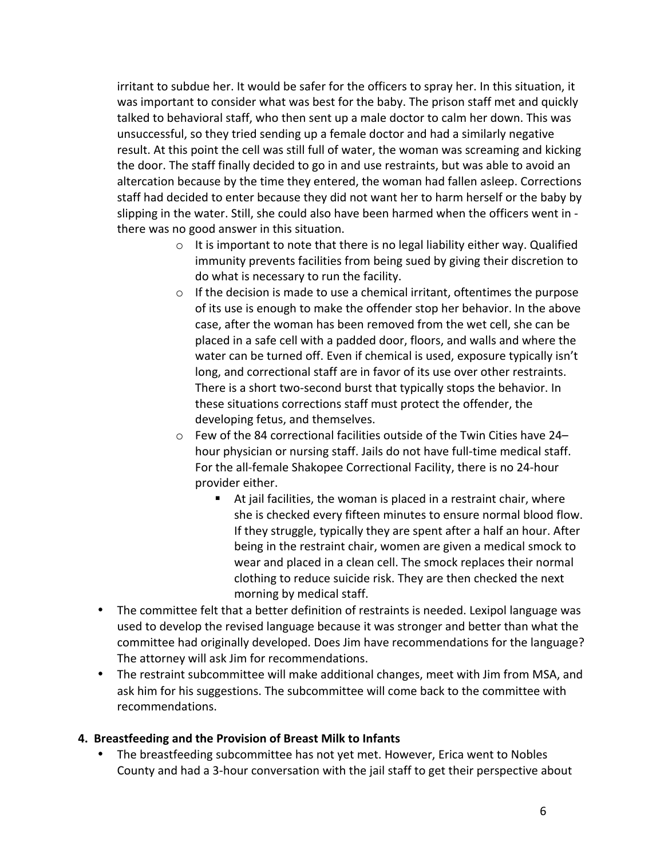irritant to subdue her. It would be safer for the officers to spray her. In this situation, it was important to consider what was best for the baby. The prison staff met and quickly talked to behavioral staff, who then sent up a male doctor to calm her down. This was unsuccessful, so they tried sending up a female doctor and had a similarly negative result. At this point the cell was still full of water, the woman was screaming and kicking the door. The staff finally decided to go in and use restraints, but was able to avoid an altercation because by the time they entered, the woman had fallen asleep. Corrections staff had decided to enter because they did not want her to harm herself or the baby by slipping in the water. Still, she could also have been harmed when the officers went in there was no good answer in this situation.

- $\circ$  It is important to note that there is no legal liability either way. Qualified immunity prevents facilities from being sued by giving their discretion to do what is necessary to run the facility.
- $\circ$  If the decision is made to use a chemical irritant, oftentimes the purpose of its use is enough to make the offender stop her behavior. In the above case, after the woman has been removed from the wet cell, she can be placed in a safe cell with a padded door, floors, and walls and where the water can be turned off. Even if chemical is used, exposure typically isn't long, and correctional staff are in favor of its use over other restraints. There is a short two-second burst that typically stops the behavior. In these situations corrections staff must protect the offender, the developing fetus, and themselves.
- o Few of the 84 correctional facilities outside of the Twin Cities have 24– hour physician or nursing staff. Jails do not have full-time medical staff. For the all-female Shakopee Correctional Facility, there is no 24-hour provider either.
	- $\blacksquare$  At jail facilities, the woman is placed in a restraint chair, where she is checked every fifteen minutes to ensure normal blood flow. If they struggle, typically they are spent after a half an hour. After being in the restraint chair, women are given a medical smock to wear and placed in a clean cell. The smock replaces their normal clothing to reduce suicide risk. They are then checked the next morning by medical staff.
- The committee felt that a better definition of restraints is needed. Lexipol language was used to develop the revised language because it was stronger and better than what the committee had originally developed. Does Jim have recommendations for the language? The attorney will ask Jim for recommendations.
- The restraint subcommittee will make additional changes, meet with Jim from MSA, and ask him for his suggestions. The subcommittee will come back to the committee with recommendations.

# **4. Breastfeeding and the Provision of Breast Milk to Infants**

The breastfeeding subcommittee has not yet met. However, Erica went to Nobles County and had a 3-hour conversation with the jail staff to get their perspective about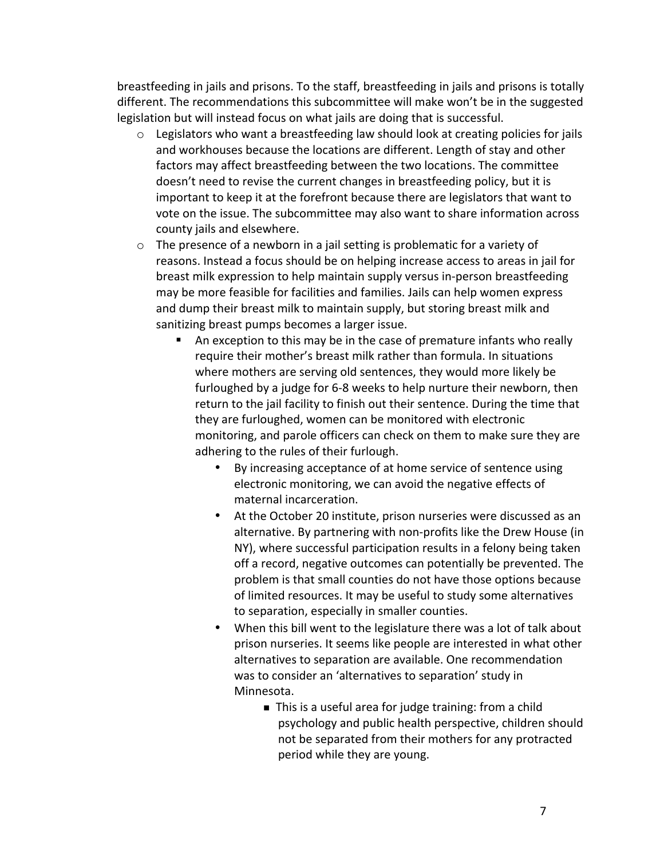breastfeeding in jails and prisons. To the staff, breastfeeding in jails and prisons is totally different. The recommendations this subcommittee will make won't be in the suggested legislation but will instead focus on what jails are doing that is successful.

- $\circ$  Legislators who want a breastfeeding law should look at creating policies for jails and workhouses because the locations are different. Length of stay and other factors may affect breastfeeding between the two locations. The committee doesn't need to revise the current changes in breastfeeding policy, but it is important to keep it at the forefront because there are legislators that want to vote on the issue. The subcommittee may also want to share information across county jails and elsewhere.
- $\circ$  The presence of a newborn in a jail setting is problematic for a variety of reasons. Instead a focus should be on helping increase access to areas in jail for breast milk expression to help maintain supply versus in-person breastfeeding may be more feasible for facilities and families. Jails can help women express and dump their breast milk to maintain supply, but storing breast milk and sanitizing breast pumps becomes a larger issue.
	- An exception to this may be in the case of premature infants who really require their mother's breast milk rather than formula. In situations where mothers are serving old sentences, they would more likely be furloughed by a judge for 6-8 weeks to help nurture their newborn, then return to the jail facility to finish out their sentence. During the time that they are furloughed, women can be monitored with electronic monitoring, and parole officers can check on them to make sure they are adhering to the rules of their furlough.
		- By increasing acceptance of at home service of sentence using electronic monitoring, we can avoid the negative effects of maternal incarceration.
		- At the October 20 institute, prison nurseries were discussed as an alternative. By partnering with non-profits like the Drew House (in NY), where successful participation results in a felony being taken off a record, negative outcomes can potentially be prevented. The problem is that small counties do not have those options because of limited resources. It may be useful to study some alternatives to separation, especially in smaller counties.
		- When this bill went to the legislature there was a lot of talk about prison nurseries. It seems like people are interested in what other alternatives to separation are available. One recommendation was to consider an 'alternatives to separation' study in Minnesota.
			- This is a useful area for judge training: from a child psychology and public health perspective, children should not be separated from their mothers for any protracted period while they are young.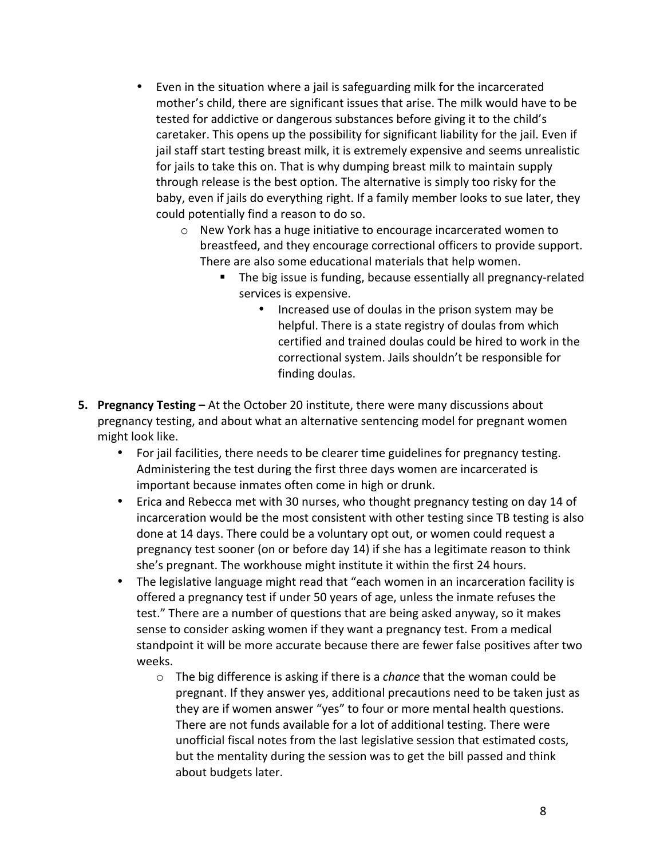- Even in the situation where a jail is safeguarding milk for the incarcerated mother's child, there are significant issues that arise. The milk would have to be tested for addictive or dangerous substances before giving it to the child's caretaker. This opens up the possibility for significant liability for the jail. Even if jail staff start testing breast milk, it is extremely expensive and seems unrealistic for jails to take this on. That is why dumping breast milk to maintain supply through release is the best option. The alternative is simply too risky for the baby, even if jails do everything right. If a family member looks to sue later, they could potentially find a reason to do so.
	- $\circ$  New York has a huge initiative to encourage incarcerated women to breastfeed, and they encourage correctional officers to provide support. There are also some educational materials that help women.
		- " The big issue is funding, because essentially all pregnancy-related services is expensive.
			- Increased use of doulas in the prison system may be helpful. There is a state registry of doulas from which certified and trained doulas could be hired to work in the correctional system. Jails shouldn't be responsible for finding doulas.
- **5. Pregnancy Testing** At the October 20 institute, there were many discussions about pregnancy testing, and about what an alternative sentencing model for pregnant women might look like.
	- For jail facilities, there needs to be clearer time guidelines for pregnancy testing. Administering the test during the first three days women are incarcerated is important because inmates often come in high or drunk.
	- Erica and Rebecca met with 30 nurses, who thought pregnancy testing on day 14 of incarceration would be the most consistent with other testing since TB testing is also done at 14 days. There could be a voluntary opt out, or women could request a pregnancy test sooner (on or before day 14) if she has a legitimate reason to think she's pregnant. The workhouse might institute it within the first 24 hours.
	- The legislative language might read that "each women in an incarceration facility is" offered a pregnancy test if under 50 years of age, unless the inmate refuses the test." There are a number of questions that are being asked anyway, so it makes sense to consider asking women if they want a pregnancy test. From a medical standpoint it will be more accurate because there are fewer false positives after two weeks.
		- $\circ$  The big difference is asking if there is a *chance* that the woman could be pregnant. If they answer yes, additional precautions need to be taken just as they are if women answer "yes" to four or more mental health questions. There are not funds available for a lot of additional testing. There were unofficial fiscal notes from the last legislative session that estimated costs, but the mentality during the session was to get the bill passed and think about budgets later.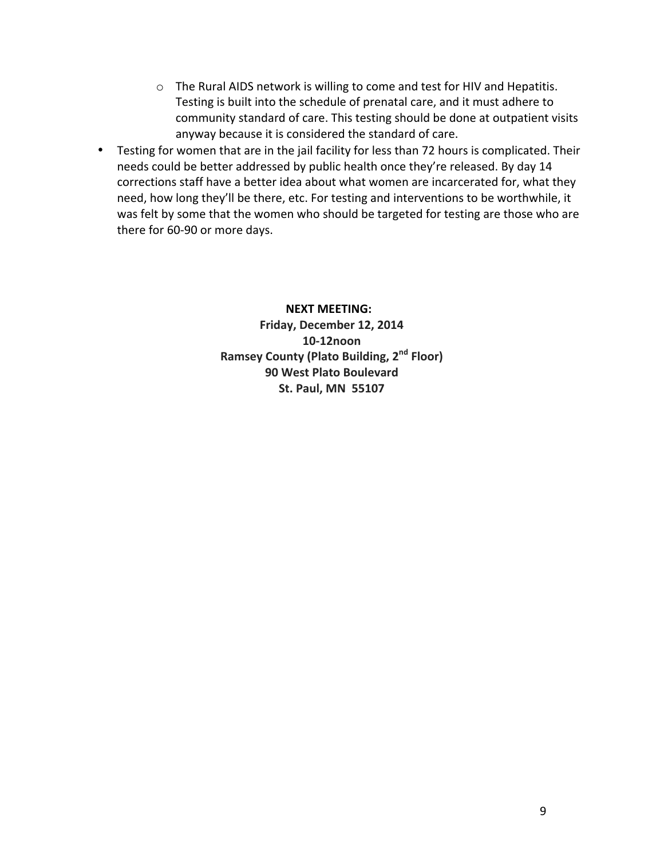- $\circ$  The Rural AIDS network is willing to come and test for HIV and Hepatitis. Testing is built into the schedule of prenatal care, and it must adhere to community standard of care. This testing should be done at outpatient visits anyway because it is considered the standard of care.
- Testing for women that are in the jail facility for less than 72 hours is complicated. Their needs could be better addressed by public health once they're released. By day 14 corrections staff have a better idea about what women are incarcerated for, what they need, how long they'll be there, etc. For testing and interventions to be worthwhile, it was felt by some that the women who should be targeted for testing are those who are there for 60-90 or more days.

**NEXT MEETING:** Friday, December 12, 2014 **10X12noon Ramsey\*County\*(Plato\*Building,\*2nd Floor) 90 West Plato Boulevard St.\*Paul,\*MN\* 55107**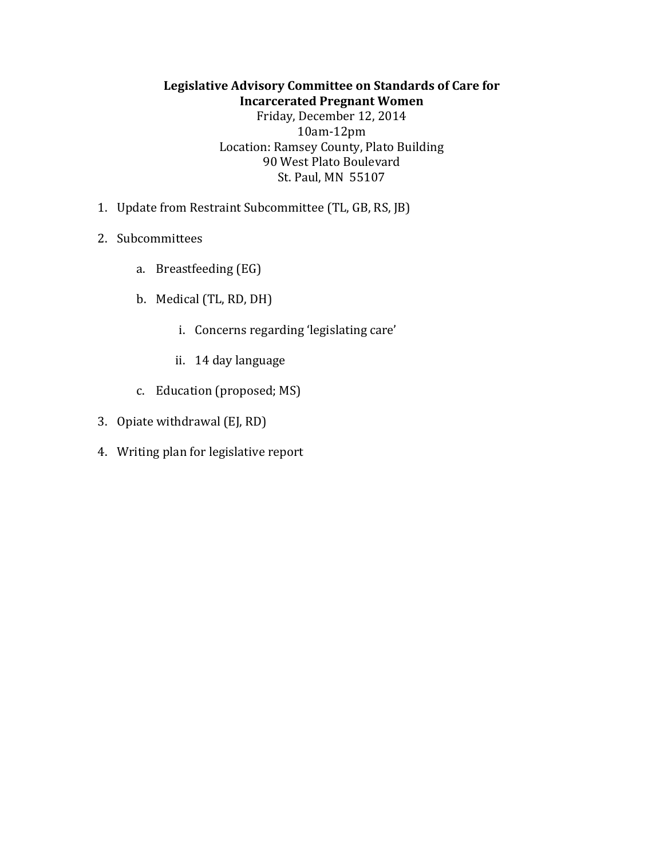# Legislative Advisory Committee on Standards of Care for **Incarcerated Pregnant Women**

Friday, December 12, 2014 10am212pm Location: Ramsey County, Plato Building 90 West Plato Boulevard St. Paul, MN 55107

- 1. Update from Restraint Subcommittee (TL, GB, RS, JB)
- 2. Subcommittees
	- a. Breastfeeding (EG)
	- b. Medical (TL, RD, DH)
		- i. Concerns regarding 'legislating care'
		- ii. 14 day language
	- c. Education (proposed; MS)
- 3. Opiate withdrawal (EJ, RD)
- 4. Writing plan for legislative report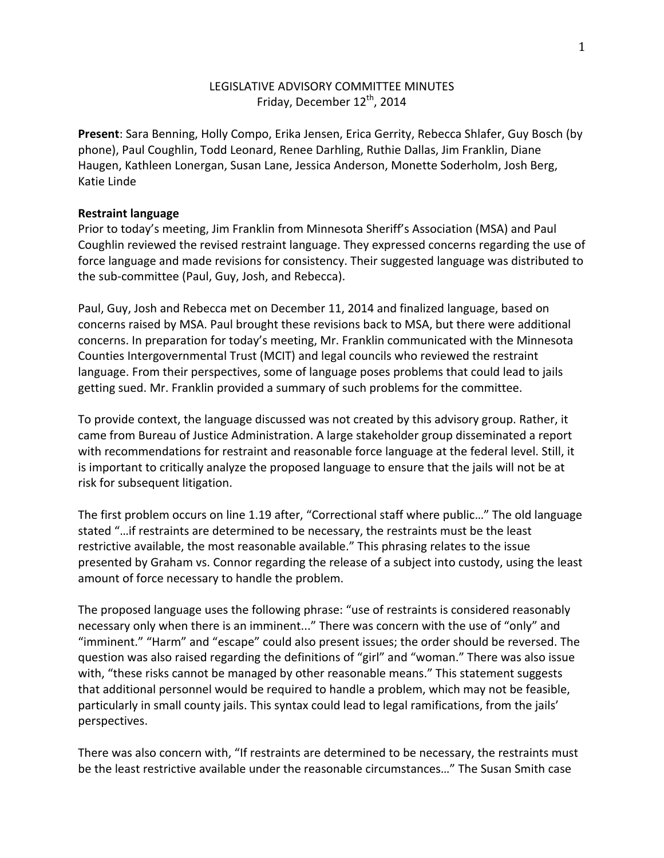# LEGISLATIVE ADVISORY COMMITTEE MINUTES Friday, December 12<sup>th</sup>, 2014

Present: Sara Benning, Holly Compo, Erika Jensen, Erica Gerrity, Rebecca Shlafer, Guy Bosch (by) phone), Paul Coughlin, Todd Leonard, Renee Darhling, Ruthie Dallas, Jim Franklin, Diane Haugen, Kathleen Lonergan, Susan Lane, Jessica Anderson, Monette Soderholm, Josh Berg, Katie Linde

## **Restraint language**

Prior to today's meeting, Jim Franklin from Minnesota Sheriff's Association (MSA) and Paul Coughlin reviewed the revised restraint language. They expressed concerns regarding the use of force language and made revisions for consistency. Their suggested language was distributed to the sub-committee (Paul, Guy, Josh, and Rebecca).

Paul, Guy, Josh and Rebecca met on December 11, 2014 and finalized language, based on concerns raised by MSA. Paul brought these revisions back to MSA, but there were additional concerns. In preparation for today's meeting, Mr. Franklin communicated with the Minnesota Counties Intergovernmental Trust (MCIT) and legal councils who reviewed the restraint language. From their perspectives, some of language poses problems that could lead to jails getting sued. Mr. Franklin provided a summary of such problems for the committee.

To provide context, the language discussed was not created by this advisory group. Rather, it came from Bureau of Justice Administration. A large stakeholder group disseminated a report with recommendations for restraint and reasonable force language at the federal level. Still, it is important to critically analyze the proposed language to ensure that the jails will not be at risk for subsequent litigation.

The first problem occurs on line 1.19 after, "Correctional staff where public..." The old language stated "... if restraints are determined to be necessary, the restraints must be the least restrictive available, the most reasonable available." This phrasing relates to the issue presented by Graham vs. Connor regarding the release of a subject into custody, using the least amount of force necessary to handle the problem.

The proposed language uses the following phrase: "use of restraints is considered reasonably necessary only when there is an imminent..." There was concern with the use of "only" and "imminent." "Harm" and "escape" could also present issues; the order should be reversed. The question was also raised regarding the definitions of "girl" and "woman." There was also issue with, "these risks cannot be managed by other reasonable means." This statement suggests that additional personnel would be required to handle a problem, which may not be feasible, particularly in small county jails. This syntax could lead to legal ramifications, from the jails' perspectives.

There was also concern with, "If restraints are determined to be necessary, the restraints must be the least restrictive available under the reasonable circumstances..." The Susan Smith case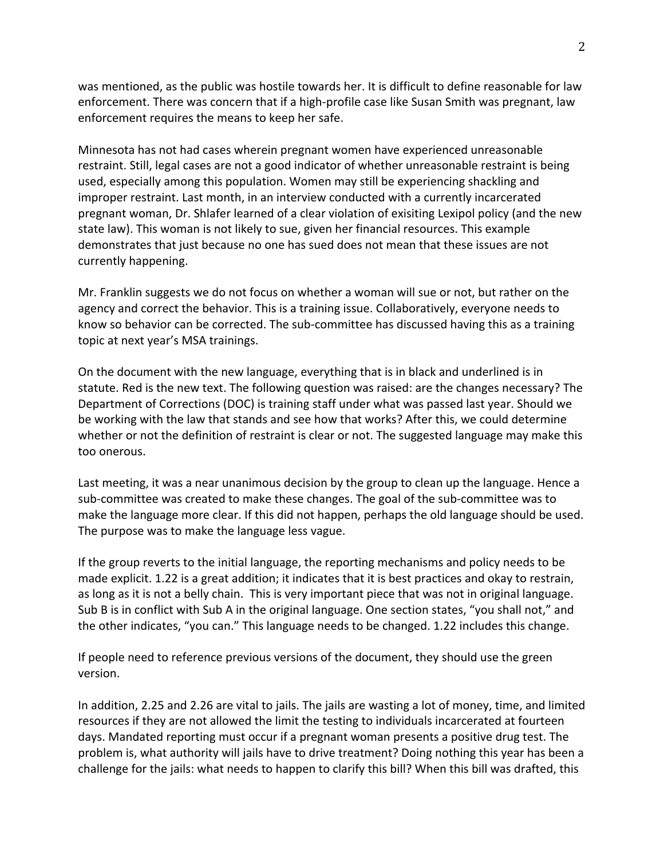was mentioned, as the public was hostile towards her. It is difficult to define reasonable for law enforcement. There was concern that if a high-profile case like Susan Smith was pregnant, law enforcement requires the means to keep her safe.

Minnesota has not had cases wherein pregnant women have experienced unreasonable restraint. Still, legal cases are not a good indicator of whether unreasonable restraint is being used, especially among this population. Women may still be experiencing shackling and improper restraint. Last month, in an interview conducted with a currently incarcerated pregnant woman, Dr. Shlafer learned of a clear violation of exisiting Lexipol policy (and the new state law). This woman is not likely to sue, given her financial resources. This example demonstrates that just because no one has sued does not mean that these issues are not currently happening.

Mr. Franklin suggests we do not focus on whether a woman will sue or not, but rather on the agency and correct the behavior. This is a training issue. Collaboratively, everyone needs to know so behavior can be corrected. The sub-committee has discussed having this as a training topic at next year's MSA trainings.

On the document with the new language, everything that is in black and underlined is in statute. Red is the new text. The following question was raised: are the changes necessary? The Department of Corrections (DOC) is training staff under what was passed last year. Should we be working with the law that stands and see how that works? After this, we could determine whether or not the definition of restraint is clear or not. The suggested language may make this too onerous.

Last meeting, it was a near unanimous decision by the group to clean up the language. Hence a sub-committee was created to make these changes. The goal of the sub-committee was to make the language more clear. If this did not happen, perhaps the old language should be used. The purpose was to make the language less vague.

If the group reverts to the initial language, the reporting mechanisms and policy needs to be made explicit. 1.22 is a great addition; it indicates that it is best practices and okay to restrain, as)long as it is not a belly chain. This is very important piece that was not in original language. Sub B is in conflict with Sub A in the original language. One section states, "you shall not," and the other indicates, "you can." This language needs to be changed. 1.22 includes this change.

If people need to reference previous versions of the document, they should use the green version.

In addition, 2.25 and 2.26 are vital to jails. The jails are wasting a lot of money, time, and limited resources if they are not allowed the limit the testing to individuals incarcerated at fourteen days. Mandated reporting must occur if a pregnant woman presents a positive drug test. The problem is, what authority will jails have to drive treatment? Doing nothing this year has been a challenge for the jails: what needs to happen to clarify this bill? When this bill was drafted, this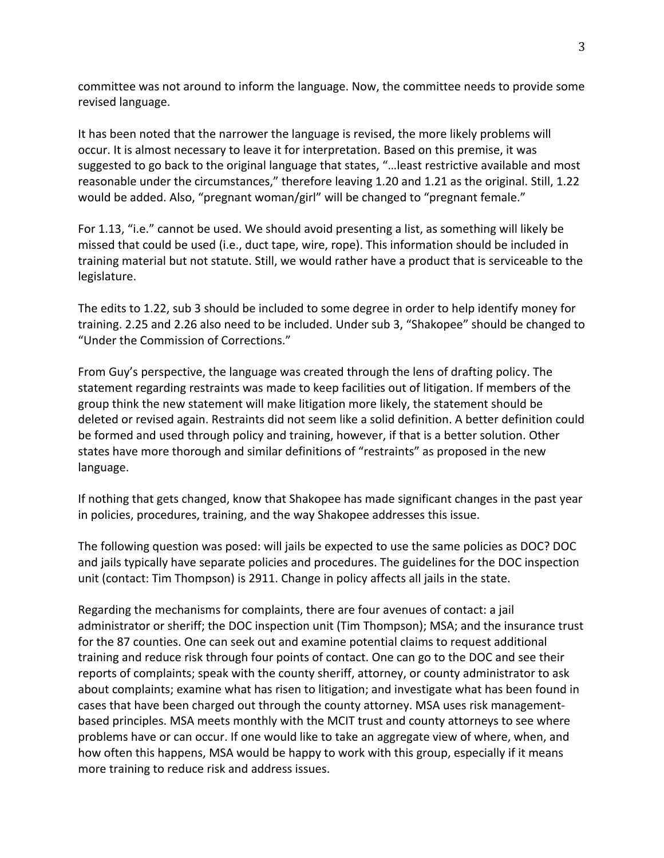committee was not around to inform the language. Now, the committee needs to provide some revised language.

It has been noted that the narrower the language is revised, the more likely problems will occur. It is almost necessary to leave it for interpretation. Based on this premise, it was suggested to go back to the original language that states, "... least restrictive available and most reasonable under the circumstances," therefore leaving 1.20 and 1.21 as the original. Still, 1.22 would be added. Also, "pregnant woman/girl" will be changed to "pregnant female."

For 1.13, "i.e." cannot be used. We should avoid presenting a list, as something will likely be missed that could be used (i.e., duct tape, wire, rope). This information should be included in training material but not statute. Still, we would rather have a product that is serviceable to the legislature.

The edits to 1.22, sub 3 should be included to some degree in order to help identify money for training. 2.25 and 2.26 also need to be included. Under sub 3, "Shakopee" should be changed to "Under the Commission of Corrections."

From Guy's perspective, the language was created through the lens of drafting policy. The statement regarding restraints was made to keep facilities out of litigation. If members of the group think the new statement will make litigation more likely, the statement should be deleted or revised again. Restraints did not seem like a solid definition. A better definition could be formed and used through policy and training, however, if that is a better solution. Other states have more thorough and similar definitions of "restraints" as proposed in the new language.

If nothing that gets changed, know that Shakopee has made significant changes in the past year in policies, procedures, training, and the way Shakopee addresses this issue.

The following question was posed: will jails be expected to use the same policies as DOC? DOC and jails typically have separate policies and procedures. The guidelines for the DOC inspection unit (contact: Tim Thompson) is 2911. Change in policy affects all jails in the state.

Regarding the mechanisms for complaints, there are four avenues of contact: a jail administrator or sheriff; the DOC inspection unit (Tim Thompson); MSA; and the insurance trust for the 87 counties. One can seek out and examine potential claims to request additional training and reduce risk through four points of contact. One can go to the DOC and see their reports of complaints; speak with the county sheriff, attorney, or county administrator to ask about complaints; examine what has risen to litigation; and investigate what has been found in cases that have been charged out through the county attorney. MSA uses risk managementbased principles. MSA meets monthly with the MCIT trust and county attorneys to see where problems have or can occur. If one would like to take an aggregate view of where, when, and how often this happens, MSA would be happy to work with this group, especially if it means more training to reduce risk and address issues.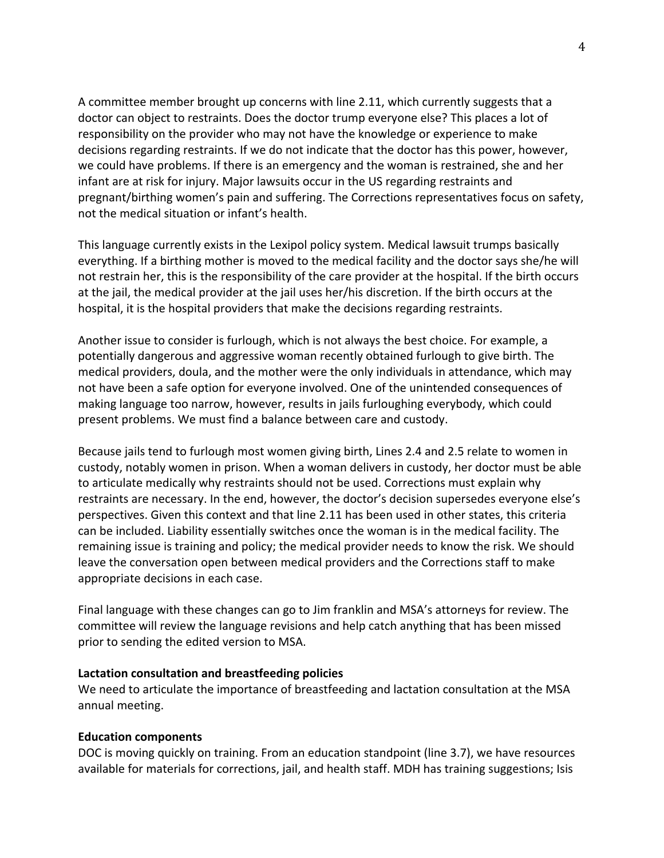A committee member brought up concerns with line 2.11, which currently suggests that a doctor can object to restraints. Does the doctor trump everyone else? This places a lot of responsibility on the provider who may not have the knowledge or experience to make decisions regarding restraints. If we do not indicate that the doctor has this power, however, we could have problems. If there is an emergency and the woman is restrained, she and her infant are at risk for injury. Major lawsuits occur in the US regarding restraints and pregnant/birthing women's pain and suffering. The Corrections representatives focus on safety, not the medical situation or infant's health.

This language currently exists in the Lexipol policy system. Medical lawsuit trumps basically everything. If a birthing mother is moved to the medical facility and the doctor says she/he will not restrain her, this is the responsibility of the care provider at the hospital. If the birth occurs at the jail, the medical provider at the jail uses her/his discretion. If the birth occurs at the hospital, it is the hospital providers that make the decisions regarding restraints.

Another issue to consider is furlough, which is not always the best choice. For example, a potentially dangerous and aggressive woman recently obtained furlough to give birth. The medical providers, doula, and the mother were the only individuals in attendance, which may not have been a safe option for everyone involved. One of the unintended consequences of making language too narrow, however, results in jails furloughing everybody, which could present problems. We must find a balance between care and custody.

Because jails tend to furlough most women giving birth, Lines 2.4 and 2.5 relate to women in custody, notably women in prison. When a woman delivers in custody, her doctor must be able to) articulate medically why restraints should not be used. Corrections must explain why restraints are necessary. In the end, however, the doctor's decision supersedes everyone else's perspectives. Given this context and that line 2.11 has been used in other states, this criteria can be included. Liability essentially switches once the woman is in the medical facility. The remaining issue is training and policy; the medical provider needs to know the risk. We should leave the conversation open between medical providers and the Corrections staff to make appropriate decisions in each case.

Final language with these changes can go to Jim franklin and MSA's attorneys for review. The committee will review the language revisions and help catch anything that has been missed prior to sending the edited version to MSA.

## Lactation consultation and breastfeeding policies

We need to articulate the importance of breastfeeding and lactation consultation at the MSA annual meeting.

## **Education components**

DOC is moving quickly on training. From an education standpoint (line 3.7), we have resources available for materials for corrections, jail, and health staff. MDH has training suggestions; Isis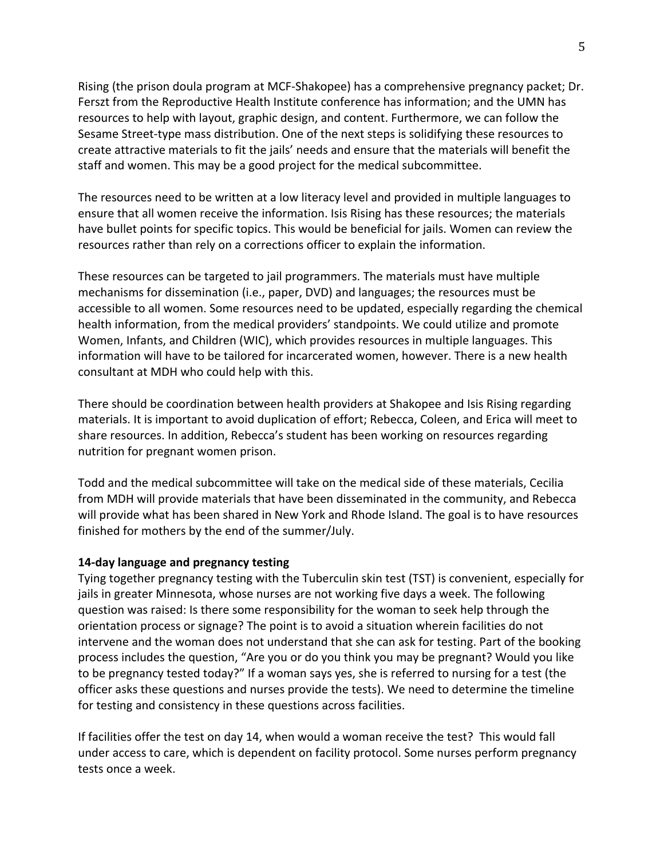Rising (the prison doula program at MCF-Shakopee) has a comprehensive pregnancy packet; Dr. Ferszt from the Reproductive Health Institute conference has information; and the UMN has resources to help with layout, graphic design, and content. Furthermore, we can follow the Sesame Street-type mass distribution. One of the next steps is solidifying these resources to create attractive materials to fit the jails' needs and ensure that the materials will benefit the staff and women. This may be a good project for the medical subcommittee.

The resources need to be written at a low literacy level and provided in multiple languages to ensure that all women receive the information. Isis Rising has these resources; the materials have bullet points for specific topics. This would be beneficial for jails. Women can review the resources rather than rely on a corrections officer to explain the information.

These resources can be targeted to jail programmers. The materials must have multiple mechanisms for dissemination (i.e., paper, DVD) and languages; the resources must be accessible to all women. Some resources need to be updated, especially regarding the chemical health information, from the medical providers' standpoints. We could utilize and promote Women, Infants, and Children (WIC), which provides resources in multiple languages. This information will have to be tailored for incarcerated women, however. There is a new health consultant at MDH who could help with this.

There should be coordination between health providers at Shakopee and Isis Rising regarding materials. It is important to avoid duplication of effort; Rebecca, Coleen, and Erica will meet to share resources. In addition, Rebecca's student has been working on resources regarding nutrition for pregnant women prison.

Todd and the medical subcommittee will take on the medical side of these materials, Cecilia from MDH will provide materials that have been disseminated in the community, and Rebecca will provide what has been shared in New York and Rhode Island. The goal is to have resources finished for mothers by the end of the summer/July.

## **14-day language and pregnancy testing**

Tying together pregnancy testing with the Tuberculin skin test (TST) is convenient, especially for jails in greater Minnesota, whose nurses are not working five days a week. The following question was raised: Is there some responsibility for the woman to seek help through the orientation process or signage? The point is to avoid a situation wherein facilities do not intervene and the woman does not understand that she can ask for testing. Part of the booking process includes the question, "Are you or do you think you may be pregnant? Would you like to be pregnancy tested today?" If a woman says yes, she is referred to nursing for a test (the officer asks these questions and nurses provide the tests). We need to determine the timeline for testing and consistency in these questions across facilities.

If facilities offer the test on day 14, when would a woman receive the test? This would fall under access to care, which is dependent on facility protocol. Some nurses perform pregnancy tests once a week.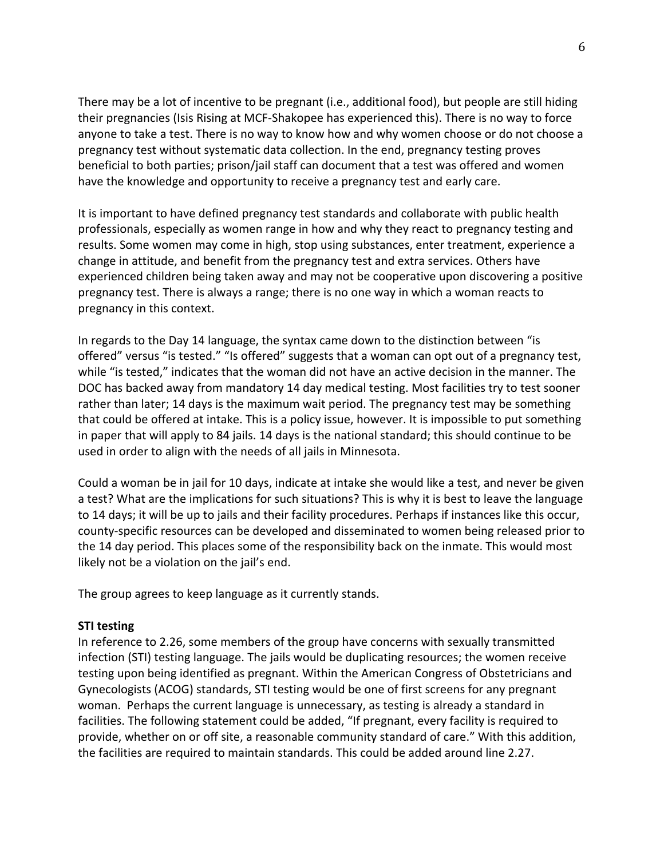There may be a lot of incentive to be pregnant (i.e., additional food), but people are still hiding their pregnancies (Isis Rising at MCF-Shakopee has experienced this). There is no way to force anyone to take a test. There is no way to know how and why women choose or do not choose a pregnancy test without systematic data collection. In the end, pregnancy testing proves beneficial to both parties; prison/jail staff can document that a test was offered and women have the knowledge and opportunity to receive a pregnancy test and early care.

It is important to have defined pregnancy test standards and collaborate with public health professionals, especially as women range in how and why they react to pregnancy testing and results. Some women may come in high, stop using substances, enter treatment, experience a change in attitude, and benefit from the pregnancy test and extra services. Others have experienced children)being taken away and may not be cooperative upon discovering a positive pregnancy test. There is always a range; there is no one way in which a woman reacts to pregnancy in this context.

In regards to the Day 14 language, the syntax came down to the distinction between "is offered" versus "is tested." "Is offered" suggests that a woman can opt out of a pregnancy test, while "is tested," indicates that the woman did not have an active decision in the manner. The DOC has backed away from mandatory 14 day medical testing. Most facilities try to test sooner rather than later; 14 days is the maximum wait period. The pregnancy test may be something that could be offered at intake. This is a policy issue, however. It is impossible to put something in paper that will apply to 84 jails. 14 days is the national standard; this should continue to be used in order to align with the needs of all jails in Minnesota.

Could a woman be in jail for 10 days, indicate at intake she would like a test, and never be given a test? What are the implications for such situations? This is why it is best to leave the language to)14 days; it will be up to jails and their facility procedures. Perhaps if instances like this occur, county-specific resources can be developed and disseminated to women being released prior to the 14 day period. This places some of the responsibility back on the inmate. This would most likely not be a violation on the jail's end.

The group agrees to keep language as it currently stands.

## **STI** testing

In reference to 2.26, some members of the group have concerns with sexually transmitted infection (STI) testing language. The jails would be duplicating resources; the women receive testing upon being identified as pregnant. Within the American Congress of Obstetricians and Gynecologists (ACOG) standards, STI testing would be one of first screens for any pregnant woman.) Perhaps the current language is unnecessary, as testing is already a standard in facilities. The following statement could be added, "If pregnant, every facility is required to provide, whether on or off site, a reasonable community standard of care." With this addition, the facilities are required to maintain standards. This could be added around line 2.27.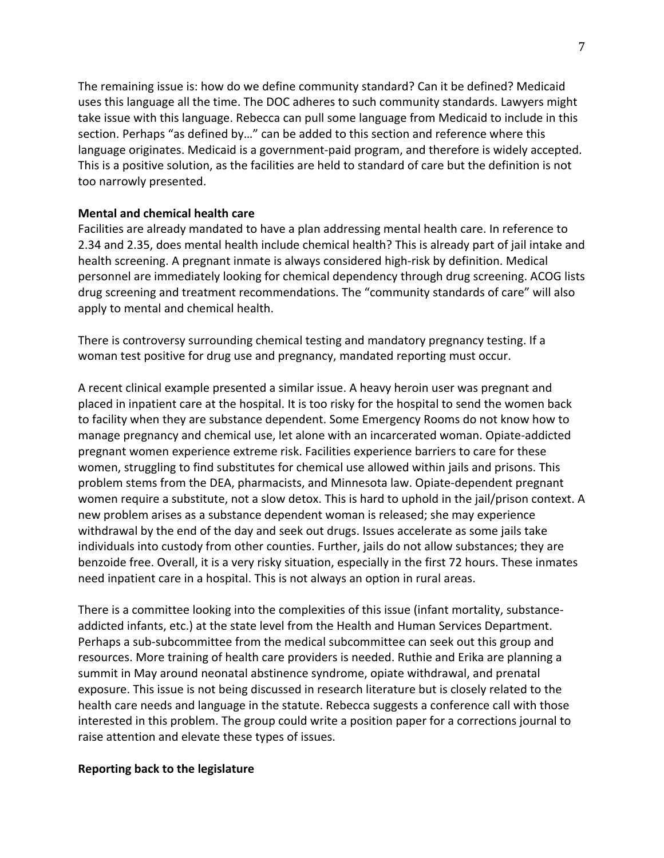The remaining issue is: how do we define community standard? Can it be defined? Medicaid uses this language all the time. The DOC adheres to such community standards. Lawyers might take issue with this language. Rebecca can pull some language from Medicaid to include in this section. Perhaps "as defined by..." can be added to this section and reference where this language originates. Medicaid is a government-paid program, and therefore is widely accepted. This is a positive solution, as the facilities are held to standard of care but the definition is not too narrowly presented.

#### **Mental and chemical health care**

Facilities are already mandated to have a plan addressing mental health care. In reference to 2.34 and 2.35, does mental health include chemical health? This is already part of jail intake and health screening. A pregnant inmate is always considered high-risk by definition. Medical personnel are immediately looking for chemical dependency through drug screening. ACOG lists drug screening and treatment recommendations. The "community standards of care" will also apply to mental and chemical health.

There is controversy surrounding chemical testing and mandatory pregnancy testing. If a woman test positive for drug use and pregnancy, mandated reporting must occur.

A recent clinical example presented a similar issue. A heavy heroin user was pregnant and placed in inpatient care at the hospital. It is too risky for the hospital to send the women back to facility when they are substance dependent. Some Emergency Rooms do not know how to manage pregnancy and chemical use, let alone with an incarcerated woman. Opiate-addicted pregnant women experience extreme risk. Facilities experience barriers to care for these women, struggling to find substitutes for chemical use allowed within jails and prisons. This problem stems from the DEA, pharmacists, and Minnesota law. Opiate-dependent pregnant women require a substitute, not a slow detox. This is hard to uphold in the jail/prison context. A new problem arises as a substance dependent woman is released; she may experience withdrawal by the end of the day and seek out drugs. Issues accelerate as some jails take individuals into custody from other counties. Further, jails do not allow substances; they are benzoide free. Overall, it is a very risky situation, especially in the first 72 hours. These inmates need inpatient care in a hospital. This is not always an option in rural areas.

There is a committee looking into the complexities of this issue (infant mortality, substanceaddicted infants, etc.) at the state level from the Health and Human Services Department. Perhaps a sub-subcommittee from the medical subcommittee can seek out this group and resources. More training of health care providers is needed. Ruthie and Erika are planning a summit in May around neonatal abstinence syndrome, opiate withdrawal, and prenatal exposure. This issue is not being discussed in research literature but is closely related to the health care needs and language in the statute. Rebecca suggests a conference call with those interested in this problem. The group could write a position paper for a corrections journal to raise attention and elevate these types of issues.

## **Reporting back to the legislature**